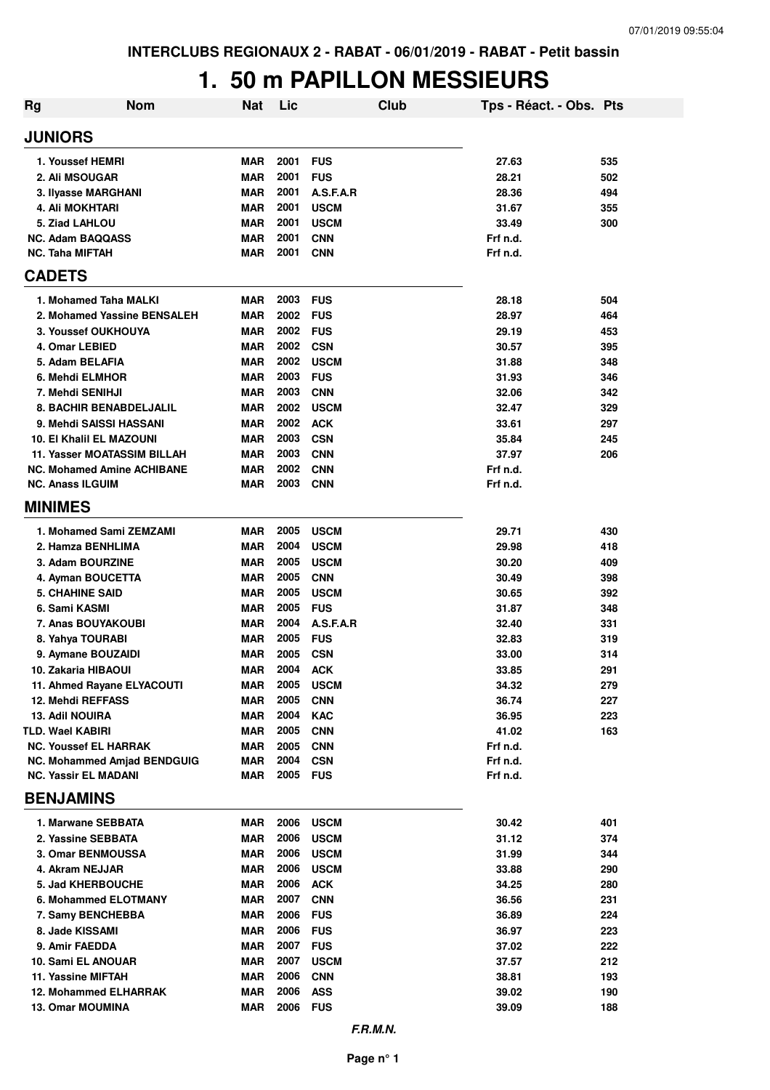#### **1. 50 m PAPILLON MESSIEURS**

| <b>Rg</b>                          | <b>Nom</b>                  | <b>Nat</b> | Lic      |             | Club | Tps - Réact. - Obs. Pts |     |
|------------------------------------|-----------------------------|------------|----------|-------------|------|-------------------------|-----|
| <b>JUNIORS</b>                     |                             |            |          |             |      |                         |     |
| 1. Youssef HEMRI                   |                             | MAR        | 2001     | <b>FUS</b>  |      | 27.63                   | 535 |
| 2. Ali MSOUGAR                     |                             | <b>MAR</b> | 2001     | <b>FUS</b>  |      | 28.21                   | 502 |
| 3. Ilyasse MARGHANI                |                             | <b>MAR</b> | 2001     | A.S.F.A.R   |      | 28.36                   | 494 |
| 4. Ali MOKHTARI                    |                             | <b>MAR</b> | 2001     | <b>USCM</b> |      | 31.67                   | 355 |
| 5. Ziad LAHLOU                     |                             | <b>MAR</b> | 2001     | <b>USCM</b> |      | 33.49                   | 300 |
| <b>NC. Adam BAQQASS</b>            |                             | <b>MAR</b> | 2001     | <b>CNN</b>  |      | Frf n.d.                |     |
| <b>NC. Taha MIFTAH</b>             |                             | MAR        | 2001     | <b>CNN</b>  |      | Frf n.d.                |     |
| <b>CADETS</b>                      |                             |            |          |             |      |                         |     |
| 1. Mohamed Taha MALKI              |                             | <b>MAR</b> | 2003     | <b>FUS</b>  |      | 28.18                   | 504 |
|                                    | 2. Mohamed Yassine BENSALEH | <b>MAR</b> | 2002     | <b>FUS</b>  |      | 28.97                   | 464 |
| 3. Youssef OUKHOUYA                |                             | <b>MAR</b> | 2002     | <b>FUS</b>  |      | 29.19                   | 453 |
| 4. Omar LEBIED                     |                             | <b>MAR</b> | 2002     | <b>CSN</b>  |      | 30.57                   | 395 |
| 5. Adam BELAFIA                    |                             | MAR        | 2002     | <b>USCM</b> |      | 31.88                   | 348 |
| 6. Mehdi ELMHOR                    |                             | <b>MAR</b> | 2003     | <b>FUS</b>  |      | 31.93                   | 346 |
| 7. Mehdi SENIHJI                   |                             | MAR        | 2003     | <b>CNN</b>  |      | 32.06                   | 342 |
| <b>8. BACHIR BENABDELJALIL</b>     |                             | <b>MAR</b> | 2002     | <b>USCM</b> |      | 32.47                   | 329 |
| 9. Mehdi SAISSI HASSANI            |                             | <b>MAR</b> | 2002     | <b>ACK</b>  |      | 33.61                   | 297 |
| <b>10. El Khalil EL MAZOUNI</b>    |                             | <b>MAR</b> | 2003     | <b>CSN</b>  |      | 35.84                   | 245 |
| <b>11. Yasser MOATASSIM BILLAH</b> |                             | <b>MAR</b> | 2003     | <b>CNN</b>  |      | 37.97                   | 206 |
| <b>NC. Mohamed Amine ACHIBANE</b>  |                             | <b>MAR</b> | 2002     | <b>CNN</b>  |      | Frf n.d.                |     |
| <b>NC. Anass ILGUIM</b>            |                             | MAR        | 2003     | <b>CNN</b>  |      | Frf n.d.                |     |
| <b>MINIMES</b>                     |                             |            |          |             |      |                         |     |
| 1. Mohamed Sami ZEMZAMI            |                             | <b>MAR</b> | 2005     | <b>USCM</b> |      | 29.71                   | 430 |
| 2. Hamza BENHLIMA                  |                             | <b>MAR</b> | 2004     | <b>USCM</b> |      | 29.98                   | 418 |
| 3. Adam BOURZINE                   |                             | <b>MAR</b> | 2005     | <b>USCM</b> |      | 30.20                   | 409 |
| 4. Ayman BOUCETTA                  |                             | <b>MAR</b> | 2005     | <b>CNN</b>  |      | 30.49                   | 398 |
| <b>5. CHAHINE SAID</b>             |                             | <b>MAR</b> | 2005     | <b>USCM</b> |      | 30.65                   | 392 |
| 6. Sami KASMI                      |                             | MAR        | 2005     | <b>FUS</b>  |      | 31.87                   | 348 |
| 7. Anas BOUYAKOUBI                 |                             | <b>MAR</b> | 2004     | A.S.F.A.R   |      | 32.40                   | 331 |
| 8. Yahya TOURABI                   |                             | <b>MAR</b> | 2005     | <b>FUS</b>  |      | 32.83                   | 319 |
| 9. Aymane BOUZAIDI                 |                             | <b>MAR</b> | 2005     | <b>CSN</b>  |      | 33.00                   | 314 |
| 10. Zakaria HIBAOUI                |                             | <b>MAR</b> | 2004     | <b>ACK</b>  |      | 33.85                   | 291 |
| 11. Ahmed Rayane ELYACOUTI         |                             | MAR        | 2005     | <b>USCM</b> |      | 34.32                   | 279 |
| 12. Mehdi REFFASS                  |                             | <b>MAR</b> | 2005     | <b>CNN</b>  |      | 36.74                   | 227 |
| <b>13. Adil NOUIRA</b>             |                             | <b>MAR</b> | 2004     | <b>KAC</b>  |      | 36.95                   | 223 |
| TLD. Wael KABIRI                   |                             | <b>MAR</b> | 2005     | <b>CNN</b>  |      | 41.02                   | 163 |
| <b>NC. Youssef EL HARRAK</b>       |                             | <b>MAR</b> | 2005     | <b>CNN</b>  |      | Frf n.d.                |     |
| <b>NC. Mohammed Amjad BENDGUIG</b> |                             | <b>MAR</b> | 2004     | <b>CSN</b>  |      | Frf n.d.                |     |
| <b>NC. Yassir EL MADANI</b>        |                             | MAR        | 2005 FUS |             |      | Frf n.d.                |     |
| <b>BENJAMINS</b>                   |                             |            |          |             |      |                         |     |
| 1. Marwane SEBBATA                 |                             | MAR        | 2006     | <b>USCM</b> |      | 30.42                   | 401 |
| 2. Yassine SEBBATA                 |                             | MAR        | 2006     | <b>USCM</b> |      | 31.12                   | 374 |
| <b>3. Omar BENMOUSSA</b>           |                             | MAR        | 2006     | <b>USCM</b> |      | 31.99                   | 344 |
| 4. Akram NEJJAR                    |                             | <b>MAR</b> | 2006     | <b>USCM</b> |      | 33.88                   | 290 |
| <b>5. Jad KHERBOUCHE</b>           |                             | <b>MAR</b> | 2006     | <b>ACK</b>  |      | 34.25                   | 280 |
| 6. Mohammed ELOTMANY               |                             | MAR        | 2007     | <b>CNN</b>  |      | 36.56                   | 231 |
| 7. Samy BENCHEBBA                  |                             | MAR        | 2006     | <b>FUS</b>  |      | 36.89                   | 224 |
| 8. Jade KISSAMI                    |                             | MAR        | 2006     | <b>FUS</b>  |      | 36.97                   | 223 |
| 9. Amir FAEDDA                     |                             | MAR        | 2007     | <b>FUS</b>  |      | 37.02                   | 222 |
| 10. Sami EL ANOUAR                 |                             | <b>MAR</b> | 2007     | <b>USCM</b> |      | 37.57                   | 212 |
| 11. Yassine MIFTAH                 |                             | <b>MAR</b> | 2006     | <b>CNN</b>  |      | 38.81                   | 193 |
| <b>12. Mohammed ELHARRAK</b>       |                             | <b>MAR</b> | 2006     | <b>ASS</b>  |      | 39.02                   | 190 |
| <b>13. Omar MOUMINA</b>            |                             | MAR        | 2006     | <b>FUS</b>  |      | 39.09                   | 188 |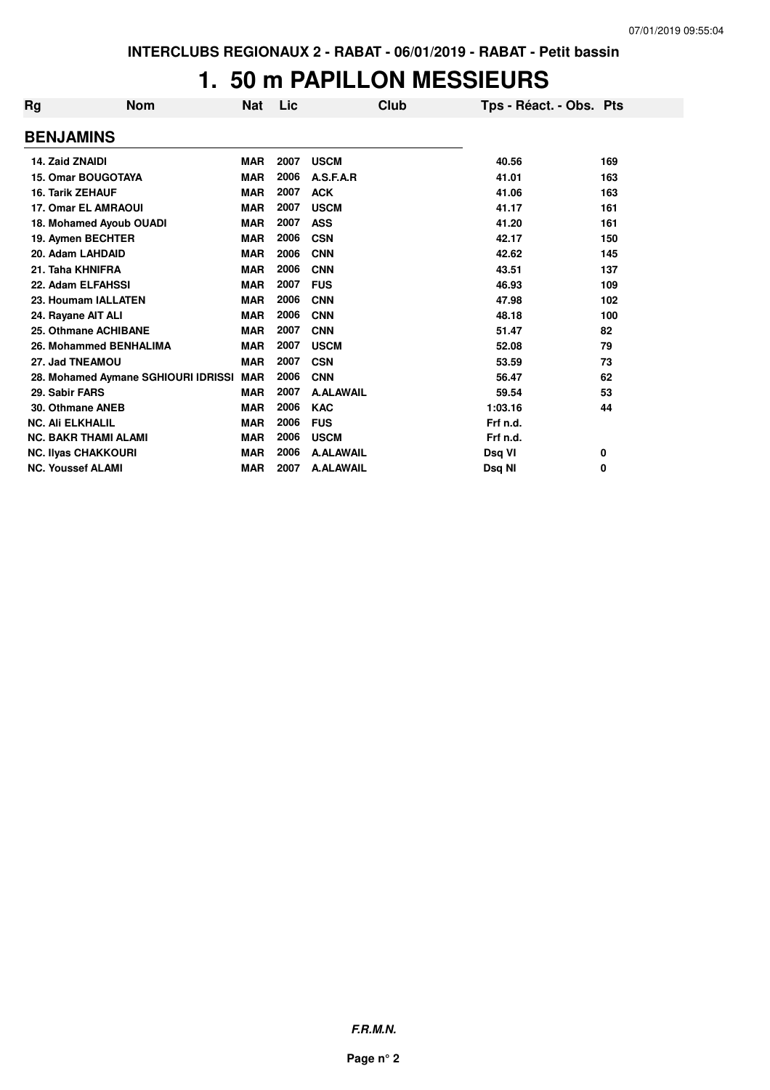#### **1. 50 m PAPILLON MESSIEURS**

| Rg | <b>Nom</b>                          | Nat        | Lic  | Club             | Tps - Réact. - Obs. Pts |     |
|----|-------------------------------------|------------|------|------------------|-------------------------|-----|
|    | <b>BENJAMINS</b>                    |            |      |                  |                         |     |
|    | 14. Zaid ZNAIDI                     | <b>MAR</b> | 2007 | <b>USCM</b>      | 40.56                   | 169 |
|    | <b>15. Omar BOUGOTAYA</b>           | <b>MAR</b> | 2006 | A.S.F.A.R        | 41.01                   | 163 |
|    | <b>16. Tarik ZEHAUF</b>             | <b>MAR</b> | 2007 | <b>ACK</b>       | 41.06                   | 163 |
|    | <b>17. Omar EL AMRAOUI</b>          | <b>MAR</b> | 2007 | <b>USCM</b>      | 41.17                   | 161 |
|    | 18. Mohamed Ayoub OUADI             | <b>MAR</b> | 2007 | <b>ASS</b>       | 41.20                   | 161 |
|    | 19. Aymen BECHTER                   | <b>MAR</b> | 2006 | <b>CSN</b>       | 42.17                   | 150 |
|    | 20. Adam LAHDAID                    | <b>MAR</b> | 2006 | <b>CNN</b>       | 42.62                   | 145 |
|    | 21. Taha KHNIFRA                    | <b>MAR</b> | 2006 | <b>CNN</b>       | 43.51                   | 137 |
|    | 22. Adam ELFAHSSI                   | <b>MAR</b> | 2007 | <b>FUS</b>       | 46.93                   | 109 |
|    | 23. Houmam IALLATEN                 | <b>MAR</b> | 2006 | <b>CNN</b>       | 47.98                   | 102 |
|    | 24. Rayane AIT ALI                  | <b>MAR</b> | 2006 | <b>CNN</b>       | 48.18                   | 100 |
|    | 25. Othmane ACHIBANE                | <b>MAR</b> | 2007 | <b>CNN</b>       | 51.47                   | 82  |
|    | 26. Mohammed BENHALIMA              | <b>MAR</b> | 2007 | <b>USCM</b>      | 52.08                   | 79  |
|    | 27. Jad TNEAMOU                     | <b>MAR</b> | 2007 | <b>CSN</b>       | 53.59                   | 73  |
|    | 28. Mohamed Aymane SGHIOURI IDRISSI | <b>MAR</b> | 2006 | <b>CNN</b>       | 56.47                   | 62  |
|    | 29. Sabir FARS                      | <b>MAR</b> | 2007 | <b>A.ALAWAIL</b> | 59.54                   | 53  |
|    | 30. Othmane ANEB                    | <b>MAR</b> | 2006 | <b>KAC</b>       | 1:03.16                 | 44  |
|    | <b>NC. Ali ELKHALIL</b>             | <b>MAR</b> | 2006 | <b>FUS</b>       | Frf n.d.                |     |
|    | <b>NC. BAKR THAMI ALAMI</b>         | <b>MAR</b> | 2006 | <b>USCM</b>      | Frf n.d.                |     |
|    | <b>NC. Ilyas CHAKKOURI</b>          | <b>MAR</b> | 2006 | <b>A.ALAWAIL</b> | Dsq VI                  | 0   |
|    | <b>NC. Youssef ALAMI</b>            | <b>MAR</b> | 2007 | <b>A.ALAWAIL</b> | Dsq NI                  | 0   |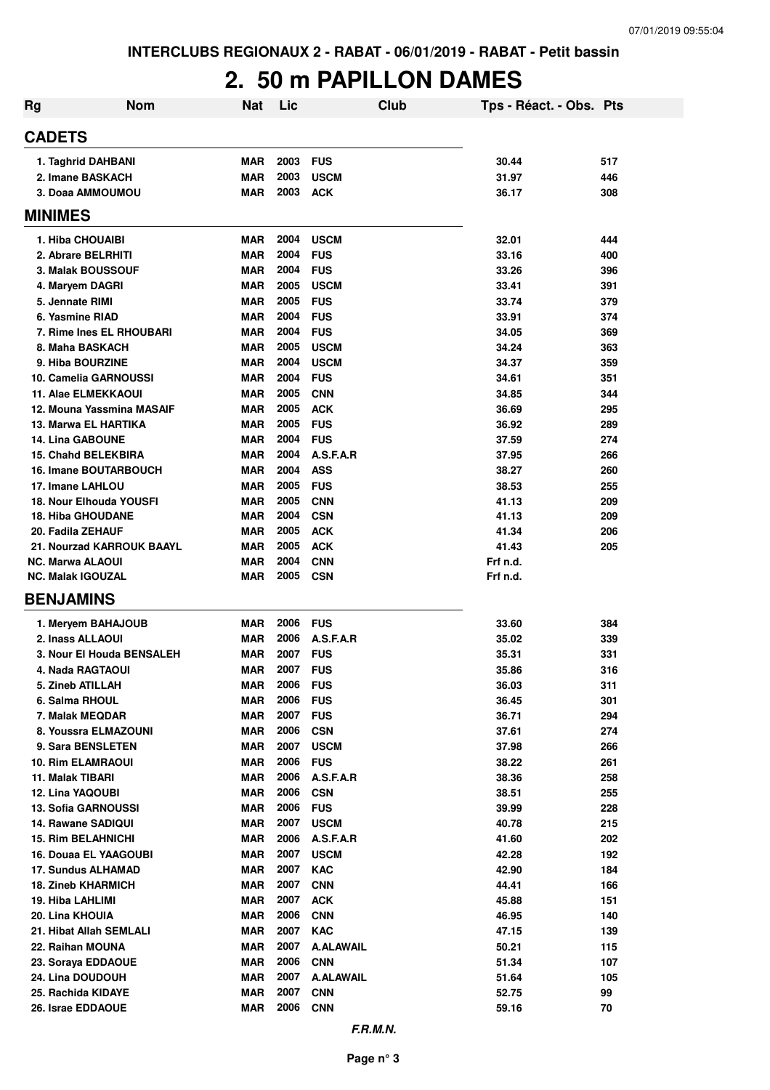## **2. 50 m PAPILLON DAMES**

| Rg | <b>Nom</b>                                     | Nat                      | Lic          |                          | Club | Tps - Réact. - Obs. Pts |            |
|----|------------------------------------------------|--------------------------|--------------|--------------------------|------|-------------------------|------------|
|    | <b>CADETS</b>                                  |                          |              |                          |      |                         |            |
|    | 1. Taghrid DAHBANI                             | MAR                      | 2003         | <b>FUS</b>               |      | 30.44                   | 517        |
|    | 2. Imane BASKACH                               | <b>MAR</b>               | 2003         | <b>USCM</b>              |      | 31.97                   | 446        |
|    | 3. Doaa AMMOUMOU                               | MAR                      | 2003         | <b>ACK</b>               |      | 36.17                   | 308        |
|    | <b>MINIMES</b>                                 |                          |              |                          |      |                         |            |
|    | 1. Hiba CHOUAIBI                               | <b>MAR</b>               | 2004         | <b>USCM</b>              |      | 32.01                   | 444        |
|    | 2. Abrare BELRHITI                             | <b>MAR</b>               | 2004         | <b>FUS</b>               |      | 33.16                   | 400        |
|    | 3. Malak BOUSSOUF                              | <b>MAR</b>               | 2004         | <b>FUS</b>               |      | 33.26                   | 396        |
|    | 4. Maryem DAGRI                                | <b>MAR</b>               | 2005         | <b>USCM</b>              |      | 33.41                   | 391        |
|    | 5. Jennate RIMI                                | <b>MAR</b>               | 2005         | <b>FUS</b>               |      | 33.74                   | 379        |
|    | 6. Yasmine RIAD                                | <b>MAR</b>               | 2004         | <b>FUS</b>               |      | 33.91                   | 374        |
|    | 7. Rime Ines EL RHOUBARI                       | <b>MAR</b>               | 2004         | <b>FUS</b>               |      | 34.05                   | 369        |
|    | 8. Maha BASKACH                                | <b>MAR</b>               | 2005         | <b>USCM</b>              |      | 34.24                   | 363        |
|    | 9. Hiba BOURZINE                               | <b>MAR</b>               | 2004         | <b>USCM</b>              |      | 34.37                   | 359        |
|    | 10. Camelia GARNOUSSI                          | <b>MAR</b>               | 2004         | <b>FUS</b>               |      | 34.61                   | 351        |
|    | <b>11. Alae ELMEKKAOUI</b>                     | <b>MAR</b>               | 2005         | <b>CNN</b>               |      | 34.85                   | 344        |
|    | 12. Mouna Yassmina MASAIF                      | <b>MAR</b>               | 2005         | <b>ACK</b>               |      | 36.69                   | 295        |
|    | 13. Marwa EL HARTIKA                           | <b>MAR</b>               | 2005         | <b>FUS</b>               |      | 36.92                   | 289        |
|    | <b>14. Lina GABOUNE</b>                        | <b>MAR</b>               | 2004         | <b>FUS</b>               |      | 37.59                   | 274        |
|    | <b>15. Chahd BELEKBIRA</b>                     | <b>MAR</b>               | 2004         | A.S.F.A.R                |      | 37.95                   | 266        |
|    | <b>16. Imane BOUTARBOUCH</b>                   | <b>MAR</b>               | 2004         | <b>ASS</b>               |      | 38.27                   | 260        |
|    | 17. Imane LAHLOU                               | <b>MAR</b>               | 2005         | <b>FUS</b>               |      | 38.53                   | 255        |
|    | <b>18. Nour Elhouda YOUSFI</b>                 | <b>MAR</b>               | 2005<br>2004 | <b>CNN</b>               |      | 41.13                   | 209        |
|    | <b>18. Hiba GHOUDANE</b>                       | <b>MAR</b><br><b>MAR</b> | 2005         | <b>CSN</b>               |      | 41.13                   | 209        |
|    | 20. Fadila ZEHAUF<br>21. Nourzad KARROUK BAAYL | <b>MAR</b>               | 2005         | <b>ACK</b><br><b>ACK</b> |      | 41.34<br>41.43          | 206<br>205 |
|    | <b>NC. Marwa ALAOUI</b>                        | <b>MAR</b>               | 2004         | <b>CNN</b>               |      | Frf n.d.                |            |
|    | <b>NC. Malak IGOUZAL</b>                       | <b>MAR</b>               | 2005         | <b>CSN</b>               |      | Frf n.d.                |            |
|    | <b>BENJAMINS</b>                               |                          |              |                          |      |                         |            |
|    | 1. Meryem BAHAJOUB                             | MAR                      | 2006         | <b>FUS</b>               |      | 33.60                   | 384        |
|    | 2. Inass ALLAOUI                               | <b>MAR</b>               | 2006         | A.S.F.A.R                |      | 35.02                   | 339        |
|    | 3. Nour El Houda BENSALEH                      | <b>MAR</b>               | 2007         | <b>FUS</b>               |      | 35.31                   | 331        |
|    | 4. Nada RAGTAOUI                               | <b>MAR</b>               | 2007         | <b>FUS</b>               |      | 35.86                   | 316        |
|    | 5. Zineb ATILLAH                               | <b>MAR</b>               | 2006         | <b>FUS</b>               |      | 36.03                   | 311        |
|    | 6. Salma RHOUL                                 | MAR                      | 2006         | <b>FUS</b>               |      | 36.45                   | 301        |
|    | 7. Malak MEQDAR                                | <b>MAR</b>               | 2007         | <b>FUS</b>               |      | 36.71                   | 294        |
|    | 8. Youssra ELMAZOUNI                           | MAR                      | 2006         | <b>CSN</b>               |      | 37.61                   | 274        |
|    | 9. Sara BENSLETEN                              | MAR                      | 2007         | <b>USCM</b>              |      | 37.98                   | 266        |
|    | <b>10. Rim ELAMRAOUI</b>                       | <b>MAR</b>               | 2006         | <b>FUS</b>               |      | 38.22                   | 261        |
|    | 11. Malak TIBARI                               | <b>MAR</b>               | 2006         | A.S.F.A.R                |      | 38.36                   | 258        |
|    | 12. Lina YAQOUBI                               | <b>MAR</b>               | 2006         | <b>CSN</b>               |      | 38.51                   | 255        |
|    | 13. Sofia GARNOUSSI                            | MAR                      | 2006         | <b>FUS</b>               |      | 39.99                   | 228        |
|    | 14. Rawane SADIQUI                             | <b>MAR</b>               | 2007         | <b>USCM</b>              |      | 40.78                   | 215        |
|    | <b>15. Rim BELAHNICHI</b>                      | <b>MAR</b>               | 2006         | A.S.F.A.R                |      | 41.60                   | 202        |
|    | <b>16. Douaa EL YAAGOUBI</b>                   | MAR                      | 2007         | <b>USCM</b>              |      | 42.28                   | 192        |
|    | <b>17. Sundus ALHAMAD</b>                      | <b>MAR</b>               | 2007         | <b>KAC</b>               |      | 42.90                   | 184        |
|    | <b>18. Zineb KHARMICH</b>                      | <b>MAR</b>               | 2007         | <b>CNN</b>               |      | 44.41                   | 166        |
|    | 19. Hiba LAHLIMI                               | MAR                      | 2007         | <b>ACK</b>               |      | 45.88                   | 151        |
|    | 20. Lina KHOUIA                                | <b>MAR</b>               | 2006         | <b>CNN</b>               |      | 46.95                   | 140        |
|    | 21. Hibat Allah SEMLALI                        | <b>MAR</b>               | 2007         | <b>KAC</b>               |      | 47.15                   | 139        |
|    | 22. Raihan MOUNA                               | MAR                      | 2007         | <b>A.ALAWAIL</b>         |      | 50.21                   | 115        |
|    | 23. Soraya EDDAOUE                             | <b>MAR</b>               | 2006         | <b>CNN</b>               |      | 51.34                   | 107        |
|    | 24. Lina DOUDOUH                               | <b>MAR</b>               | 2007         | <b>A.ALAWAIL</b>         |      | 51.64                   | 105        |
|    | 25. Rachida KIDAYE                             | <b>MAR</b>               | 2007         | <b>CNN</b>               |      | 52.75                   | 99         |
|    | 26. Israe EDDAOUE                              | <b>MAR</b>               | 2006         | <b>CNN</b>               |      | 59.16                   | 70         |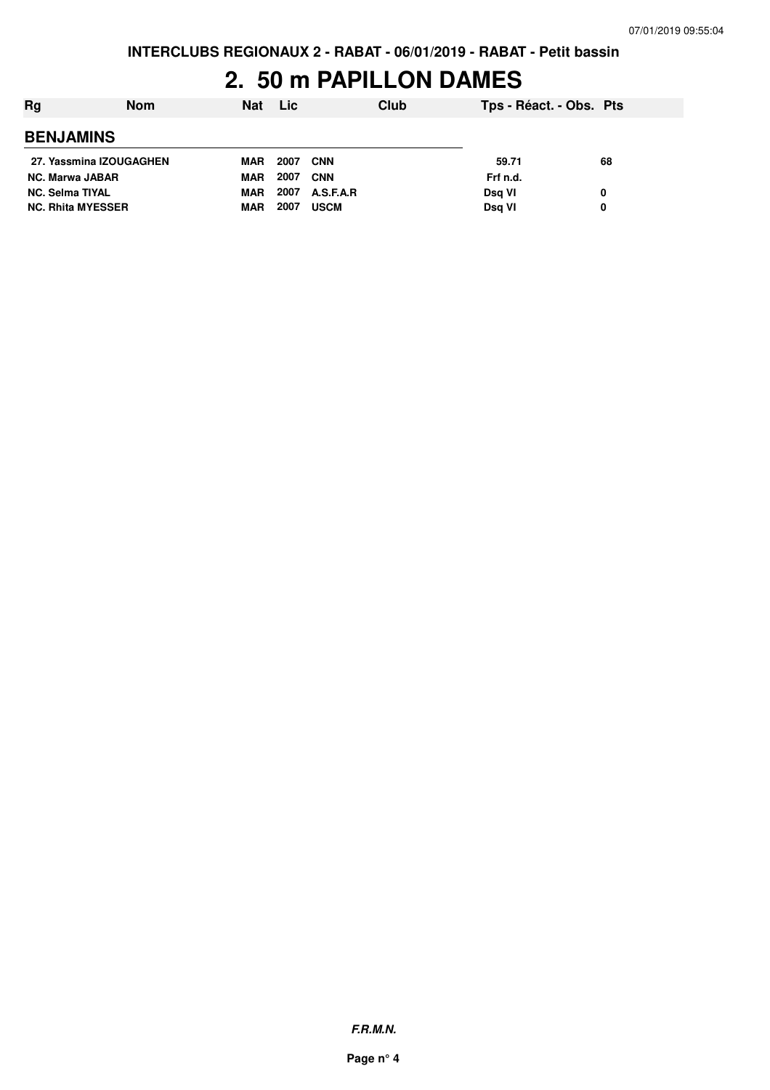## **2. 50 m PAPILLON DAMES**

| Rg                       | <b>Nom</b> | <b>Nat</b> | <b>Lic</b> |             | Club | Tps - Réact. - Obs. Pts |    |
|--------------------------|------------|------------|------------|-------------|------|-------------------------|----|
| <b>BENJAMINS</b>         |            |            |            |             |      |                         |    |
| 27. Yassmina IZOUGAGHEN  |            | MAR        | 2007       | <b>CNN</b>  |      | 59.71                   | 68 |
| <b>NC. Marwa JABAR</b>   |            | <b>MAR</b> | 2007       | <b>CNN</b>  |      | Frf n.d.                |    |
| <b>NC. Selma TIYAL</b>   |            | <b>MAR</b> | 2007       | A.S.F.A.R   |      | Dsg VI                  | 0  |
| <b>NC. Rhita MYESSER</b> |            | MAR        | 2007       | <b>USCM</b> |      | Dsg VI                  | 0  |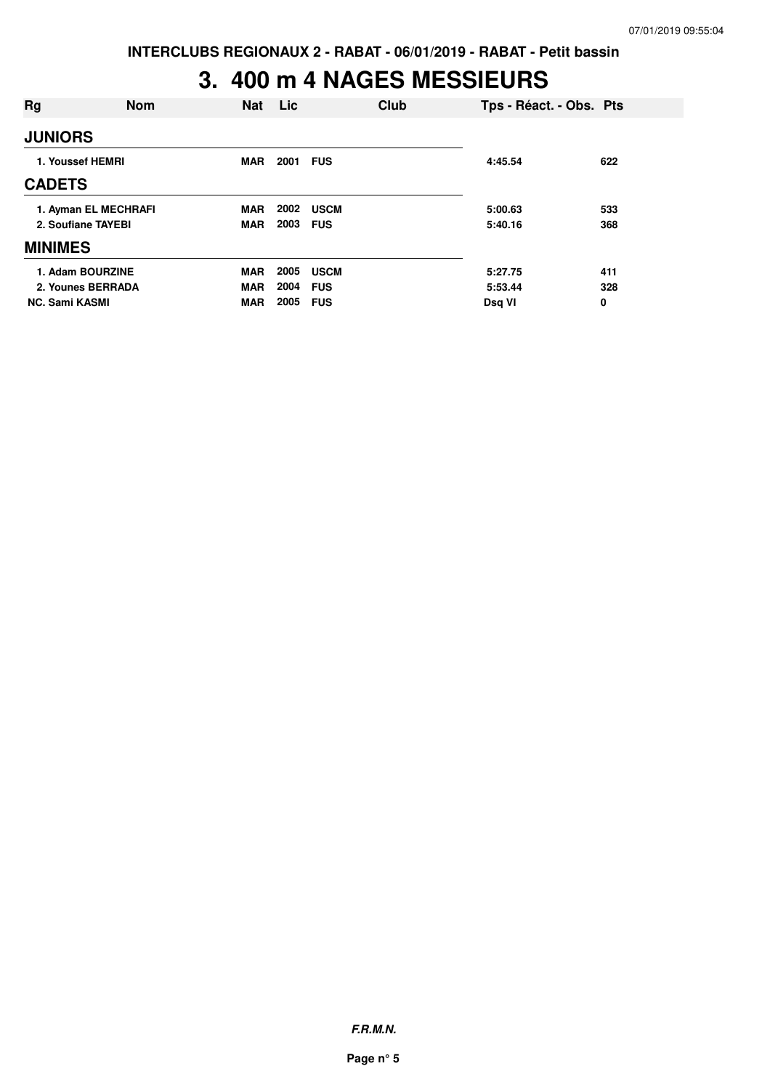## **3. 400 m 4 NAGES MESSIEURS**

| Rg                    | <b>Nom</b>                                 | Nat                                    | Lic                  | Club                                    | Tps - Réact. - Obs. Pts      |                 |
|-----------------------|--------------------------------------------|----------------------------------------|----------------------|-----------------------------------------|------------------------------|-----------------|
| <b>JUNIORS</b>        |                                            |                                        |                      |                                         |                              |                 |
|                       | 1. Youssef HEMRI                           | <b>MAR</b>                             | 2001                 | <b>FUS</b>                              | 4:45.54                      | 622             |
| <b>CADETS</b>         |                                            |                                        |                      |                                         |                              |                 |
|                       | 1. Ayman EL MECHRAFI<br>2. Soufiane TAYEBI | <b>MAR</b><br><b>MAR</b>               | 2003 FUS             | <b>2002 USCM</b>                        | 5:00.63<br>5:40.16           | 533<br>368      |
| <b>MINIMES</b>        |                                            |                                        |                      |                                         |                              |                 |
| <b>NC. Sami KASMI</b> | 1. Adam BOURZINE<br>2. Younes BERRADA      | <b>MAR</b><br><b>MAR</b><br><b>MAR</b> | 2005<br>2004<br>2005 | <b>USCM</b><br><b>FUS</b><br><b>FUS</b> | 5:27.75<br>5:53.44<br>Dsg VI | 411<br>328<br>0 |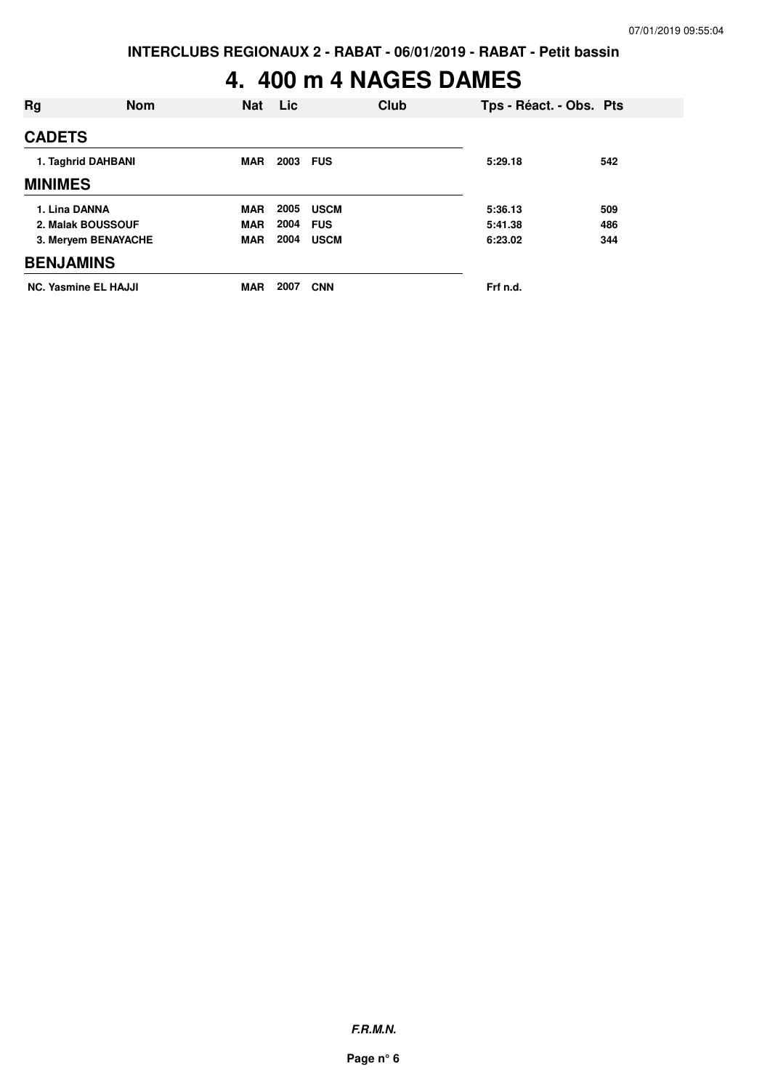## **4. 400 m 4 NAGES DAMES**

| Rg                          | <b>Nom</b> | Nat        | Lic      | Club        | Tps - Réact. - Obs. Pts |     |
|-----------------------------|------------|------------|----------|-------------|-------------------------|-----|
| <b>CADETS</b>               |            |            |          |             |                         |     |
| 1. Taghrid DAHBANI          |            | <b>MAR</b> | 2003 FUS |             | 5:29.18                 | 542 |
| <b>MINIMES</b>              |            |            |          |             |                         |     |
| 1. Lina DANNA               |            | <b>MAR</b> | 2005     | <b>USCM</b> | 5:36.13                 | 509 |
| 2. Malak BOUSSOUF           |            | <b>MAR</b> | 2004     | <b>FUS</b>  | 5:41.38                 | 486 |
| 3. Meryem BENAYACHE         |            | <b>MAR</b> | 2004     | <b>USCM</b> | 6:23.02                 | 344 |
| <b>BENJAMINS</b>            |            |            |          |             |                         |     |
| <b>NC. Yasmine EL HAJJI</b> |            | <b>MAR</b> | 2007     | <b>CNN</b>  | Frf n.d.                |     |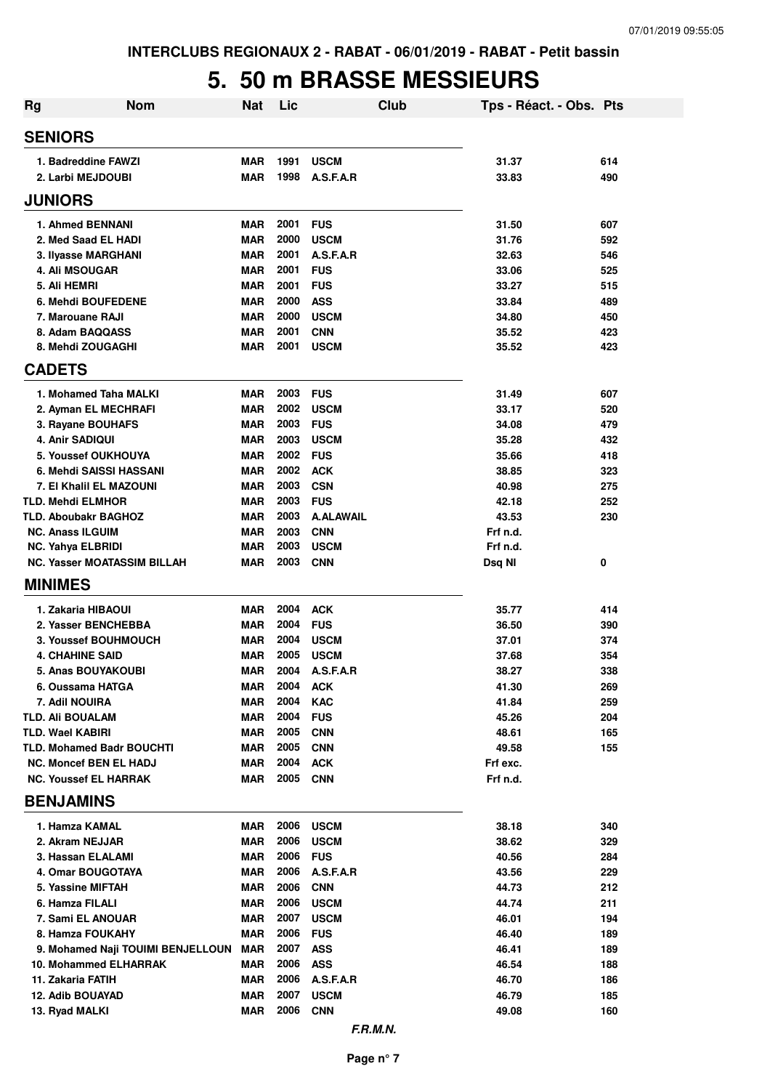## **5. 50 m BRASSE MESSIEURS**

| <b>Rg</b>                                                         | <b>Nom</b>                         | <b>Nat</b>               | Lic          |                           | Club | Tps - Réact. - Obs. Pts |            |
|-------------------------------------------------------------------|------------------------------------|--------------------------|--------------|---------------------------|------|-------------------------|------------|
| <b>SENIORS</b>                                                    |                                    |                          |              |                           |      |                         |            |
| 1. Badreddine FAWZI                                               |                                    | <b>MAR</b>               | 1991         | <b>USCM</b>               |      | 31.37                   | 614        |
| 2. Larbi MEJDOUBI                                                 |                                    | <b>MAR</b>               | 1998         | A.S.F.A.R                 |      | 33.83                   | 490        |
| <b>JUNIORS</b>                                                    |                                    |                          |              |                           |      |                         |            |
| <b>1. Ahmed BENNANI</b>                                           |                                    | <b>MAR</b>               | 2001         | <b>FUS</b>                |      | 31.50                   | 607        |
| 2. Med Saad EL HADI                                               |                                    | <b>MAR</b>               | 2000         | <b>USCM</b>               |      | 31.76                   | 592        |
| 3. Ilyasse MARGHANI                                               |                                    | <b>MAR</b>               | 2001         | A.S.F.A.R                 |      | 32.63                   | 546        |
| 4. Ali MSOUGAR                                                    |                                    | <b>MAR</b>               | 2001         | <b>FUS</b>                |      | 33.06                   | 525        |
| 5. Ali HEMRI                                                      |                                    | <b>MAR</b>               | 2001         | <b>FUS</b>                |      | 33.27                   | 515        |
| 6. Mehdi BOUFEDENE                                                |                                    | <b>MAR</b>               | 2000         | <b>ASS</b>                |      | 33.84                   | 489        |
| 7. Marouane RAJI                                                  |                                    | <b>MAR</b>               | 2000         | <b>USCM</b>               |      | 34.80                   | 450        |
| 8. Adam BAQQASS<br>8. Mehdi ZOUGAGHI                              |                                    | <b>MAR</b><br><b>MAR</b> | 2001<br>2001 | <b>CNN</b><br><b>USCM</b> |      | 35.52<br>35.52          | 423<br>423 |
| <b>CADETS</b>                                                     |                                    |                          |              |                           |      |                         |            |
|                                                                   |                                    |                          |              |                           |      |                         |            |
| 1. Mohamed Taha MALKI                                             |                                    | <b>MAR</b>               | 2003         | <b>FUS</b>                |      | 31.49                   | 607        |
| 2. Ayman EL MECHRAFI                                              |                                    | <b>MAR</b>               | 2002         | <b>USCM</b>               |      | 33.17                   | 520        |
| 3. Rayane BOUHAFS                                                 |                                    | <b>MAR</b>               | 2003         | <b>FUS</b>                |      | 34.08                   | 479        |
| <b>4. Anir SADIQUI</b>                                            |                                    | <b>MAR</b>               | 2003         | <b>USCM</b>               |      | 35.28                   | 432        |
| 5. Youssef OUKHOUYA<br>6. Mehdi SAISSI HASSANI                    |                                    | <b>MAR</b>               | 2002<br>2002 | <b>FUS</b><br><b>ACK</b>  |      | 35.66                   | 418        |
| 7. El Khalil EL MAZOUNI                                           |                                    | <b>MAR</b><br><b>MAR</b> | 2003         | <b>CSN</b>                |      | 38.85<br>40.98          | 323<br>275 |
| <b>TLD. Mehdi ELMHOR</b>                                          |                                    | <b>MAR</b>               | 2003         | <b>FUS</b>                |      | 42.18                   | 252        |
| TLD. Aboubakr BAGHOZ                                              |                                    | <b>MAR</b>               | 2003         | <b>A.ALAWAIL</b>          |      | 43.53                   | 230        |
| <b>NC. Anass ILGUIM</b>                                           |                                    | <b>MAR</b>               | 2003         | <b>CNN</b>                |      | Frf n.d.                |            |
| <b>NC. Yahya ELBRIDI</b>                                          |                                    | <b>MAR</b>               | 2003         | <b>USCM</b>               |      | Frf n.d.                |            |
|                                                                   | <b>NC. Yasser MOATASSIM BILLAH</b> | MAR                      | 2003         | <b>CNN</b>                |      | Dsq NI                  | 0          |
| <b>MINIMES</b>                                                    |                                    |                          |              |                           |      |                         |            |
| 1. Zakaria HIBAOUI                                                |                                    | <b>MAR</b>               | 2004         | <b>ACK</b>                |      | 35.77                   | 414        |
| 2. Yasser BENCHEBBA                                               |                                    | <b>MAR</b>               | 2004         | <b>FUS</b>                |      | 36.50                   | 390        |
| 3. Youssef BOUHMOUCH                                              |                                    | <b>MAR</b>               | 2004         | <b>USCM</b>               |      | 37.01                   | 374        |
| <b>4. CHAHINE SAID</b>                                            |                                    | <b>MAR</b>               | 2005         | <b>USCM</b>               |      | 37.68                   | 354        |
| <b>5. Anas BOUYAKOUBI</b>                                         |                                    | <b>MAR</b>               | 2004         | A.S.F.A.R                 |      | 38.27                   | 338        |
| 6. Oussama HATGA                                                  |                                    | MAR                      | 2004         | <b>ACK</b>                |      | 41.30                   | 269        |
| 7. Adil NOUIRA                                                    |                                    | <b>MAR</b>               | 2004         | <b>KAC</b>                |      | 41.84                   | 259        |
| <b>TLD. Ali BOUALAM</b>                                           |                                    | <b>MAR</b>               | 2004         | <b>FUS</b>                |      | 45.26                   | 204        |
| <b>TLD. Wael KABIRI</b>                                           |                                    | <b>MAR</b>               | 2005<br>2005 | <b>CNN</b>                |      | 48.61                   | 165        |
| <b>TLD. Mohamed Badr BOUCHTI</b><br><b>NC. Moncef BEN EL HADJ</b> |                                    | <b>MAR</b><br><b>MAR</b> | 2004         | <b>CNN</b><br><b>ACK</b>  |      | 49.58<br>Frf exc.       | 155        |
| <b>NC. Youssef EL HARRAK</b>                                      |                                    | MAR                      | 2005         | <b>CNN</b>                |      | Frf n.d.                |            |
| <b>BENJAMINS</b>                                                  |                                    |                          |              |                           |      |                         |            |
| 1. Hamza KAMAL                                                    |                                    | MAR                      | 2006         | <b>USCM</b>               |      | 38.18                   | 340        |
| 2. Akram NEJJAR                                                   |                                    | <b>MAR</b>               | 2006         | <b>USCM</b>               |      | 38.62                   | 329        |
| 3. Hassan ELALAMI                                                 |                                    | <b>MAR</b>               | 2006         | <b>FUS</b>                |      | 40.56                   | 284        |
| 4. Omar BOUGOTAYA                                                 |                                    | <b>MAR</b>               | 2006         | A.S.F.A.R                 |      | 43.56                   | 229        |
| 5. Yassine MIFTAH                                                 |                                    | <b>MAR</b>               | 2006         | <b>CNN</b>                |      | 44.73                   | 212        |
| 6. Hamza FILALI                                                   |                                    | <b>MAR</b>               | 2006         | <b>USCM</b>               |      | 44.74                   | 211        |
| 7. Sami EL ANOUAR                                                 |                                    | <b>MAR</b>               | 2007         | <b>USCM</b>               |      | 46.01                   | 194        |
| 8. Hamza FOUKAHY                                                  |                                    | <b>MAR</b>               | 2006         | <b>FUS</b>                |      | 46.40                   | 189        |
|                                                                   | 9. Mohamed Naji TOUIMI BENJELLOUN  | <b>MAR</b>               | 2007         | <b>ASS</b>                |      | 46.41                   | 189        |
| 10. Mohammed ELHARRAK                                             |                                    | MAR                      | 2006         | <b>ASS</b>                |      | 46.54                   | 188        |
| 11. Zakaria FATIH                                                 |                                    | <b>MAR</b>               | 2006         | A.S.F.A.R                 |      | 46.70                   | 186        |
| 12. Adib BOUAYAD                                                  |                                    | <b>MAR</b>               | 2007         | <b>USCM</b>               |      | 46.79                   | 185        |
| 13. Ryad MALKI                                                    |                                    | <b>MAR</b>               | 2006         | <b>CNN</b>                |      | 49.08                   | 160        |
|                                                                   |                                    |                          |              | F.R.M.N.                  |      |                         |            |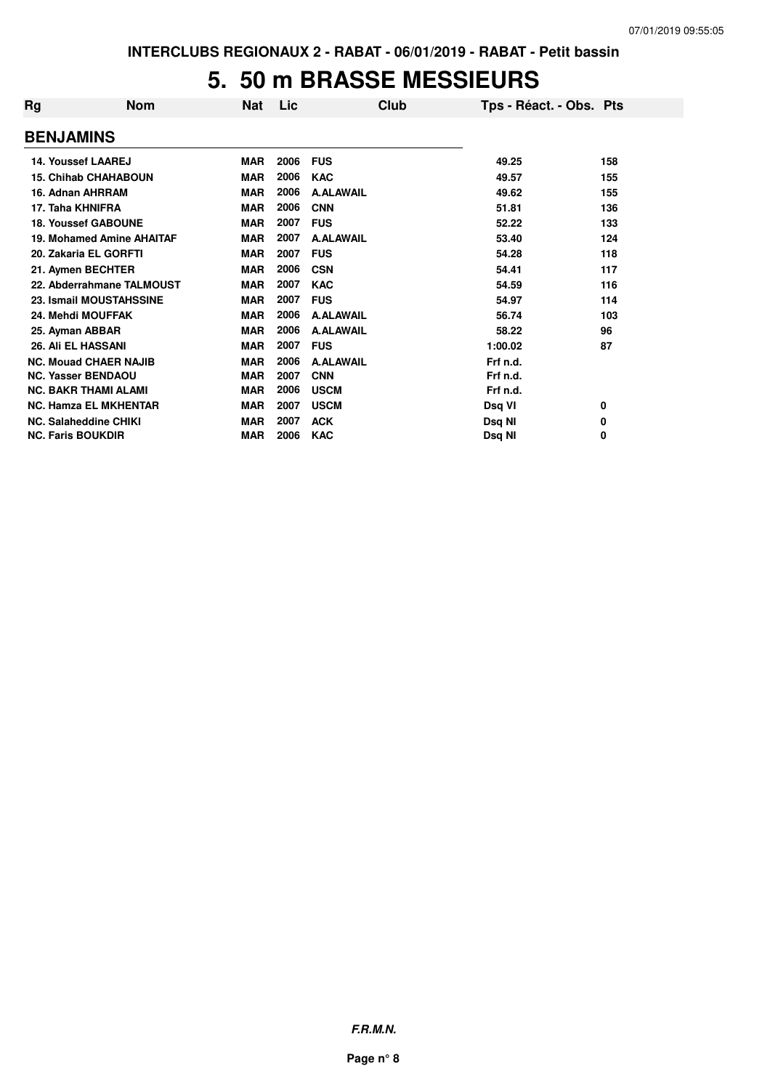#### **5. 50 m BRASSE MESSIEURS**

| Rg                       | <b>Nom</b>                       | <b>Nat</b> | Lic  | Club             | Tps - Réact. - Obs. Pts |     |
|--------------------------|----------------------------------|------------|------|------------------|-------------------------|-----|
| <b>BENJAMINS</b>         |                                  |            |      |                  |                         |     |
|                          | <b>14. Youssef LAAREJ</b>        | <b>MAR</b> | 2006 | <b>FUS</b>       | 49.25                   | 158 |
|                          | <b>15. Chihab CHAHABOUN</b>      | <b>MAR</b> | 2006 | <b>KAC</b>       | 49.57                   | 155 |
|                          | 16. Adnan AHRRAM                 | <b>MAR</b> | 2006 | <b>A.ALAWAIL</b> | 49.62                   | 155 |
| 17. Taha KHNIFRA         |                                  | <b>MAR</b> | 2006 | <b>CNN</b>       | 51.81                   | 136 |
|                          | <b>18. Youssef GABOUNE</b>       | <b>MAR</b> | 2007 | <b>FUS</b>       | 52.22                   | 133 |
|                          | <b>19. Mohamed Amine AHAITAF</b> | <b>MAR</b> | 2007 | <b>A.ALAWAIL</b> | 53.40                   | 124 |
|                          | 20. Zakaria EL GORFTI            | <b>MAR</b> | 2007 | <b>FUS</b>       | 54.28                   | 118 |
|                          | 21. Aymen BECHTER                | <b>MAR</b> | 2006 | <b>CSN</b>       | 54.41                   | 117 |
|                          | 22. Abderrahmane TALMOUST        | <b>MAR</b> | 2007 | <b>KAC</b>       | 54.59                   | 116 |
|                          | 23. Ismail MOUSTAHSSINE          | <b>MAR</b> | 2007 | <b>FUS</b>       | 54.97                   | 114 |
|                          | 24. Mehdi MOUFFAK                | <b>MAR</b> | 2006 | <b>A.ALAWAIL</b> | 56.74                   | 103 |
| 25. Ayman ABBAR          |                                  | <b>MAR</b> | 2006 | <b>A.ALAWAIL</b> | 58.22                   | 96  |
|                          | 26. Ali EL HASSANI               | <b>MAR</b> | 2007 | <b>FUS</b>       | 1:00.02                 | 87  |
|                          | <b>NC. Mouad CHAER NAJIB</b>     | <b>MAR</b> | 2006 | <b>A.ALAWAIL</b> | Frf n.d.                |     |
|                          | <b>NC. Yasser BENDAOU</b>        | <b>MAR</b> | 2007 | <b>CNN</b>       | Frf n.d.                |     |
|                          | <b>NC. BAKR THAMI ALAMI</b>      | <b>MAR</b> | 2006 | <b>USCM</b>      | Frf n.d.                |     |
|                          | <b>NC. Hamza EL MKHENTAR</b>     | <b>MAR</b> | 2007 | <b>USCM</b>      | Dsq VI                  | 0   |
|                          | NC. Salaheddine CHIKI            | <b>MAR</b> | 2007 | <b>ACK</b>       | Dsq NI                  | 0   |
| <b>NC. Faris BOUKDIR</b> |                                  | <b>MAR</b> | 2006 | <b>KAC</b>       | Dsq NI                  | 0   |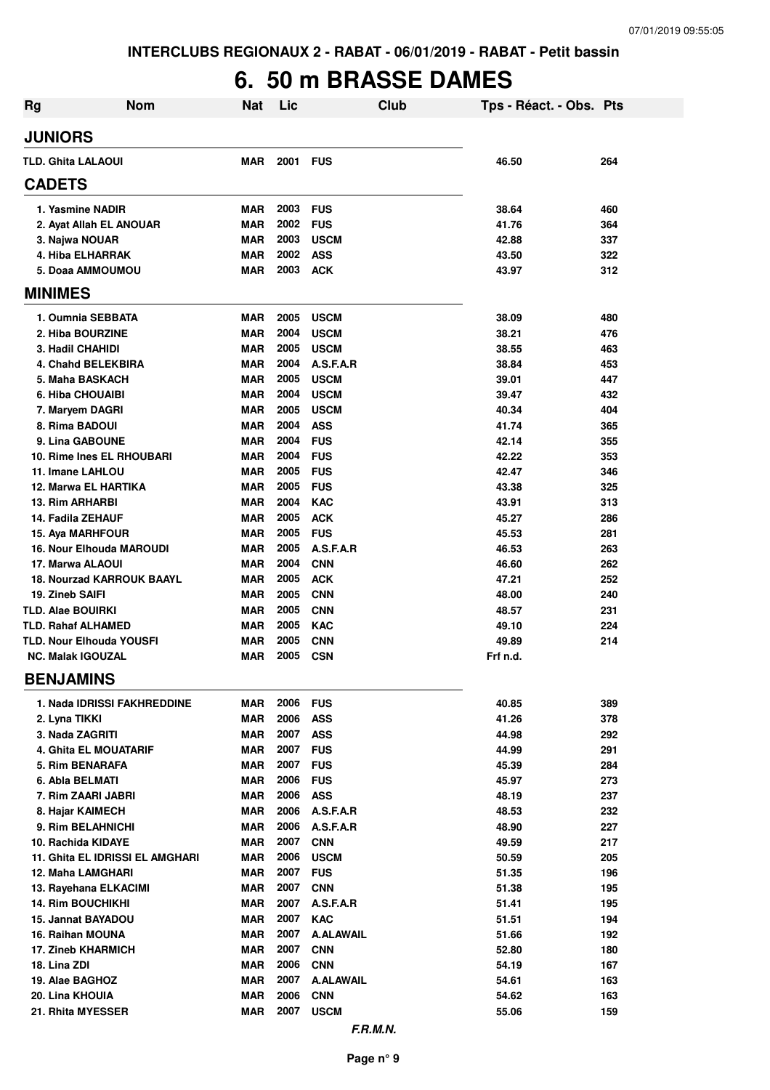## **6. 50 m BRASSE DAMES**

| <b>Rg</b>                       | <b>Nom</b>                       | <b>Nat</b> | Lic  |                  | Club | Tps - Réact. - Obs. Pts |     |
|---------------------------------|----------------------------------|------------|------|------------------|------|-------------------------|-----|
| <b>JUNIORS</b>                  |                                  |            |      |                  |      |                         |     |
| <b>TLD. Ghita LALAOUI</b>       |                                  | <b>MAR</b> | 2001 | <b>FUS</b>       |      | 46.50                   | 264 |
| <b>CADETS</b>                   |                                  |            |      |                  |      |                         |     |
| 1. Yasmine NADIR                |                                  | <b>MAR</b> | 2003 | <b>FUS</b>       |      | 38.64                   | 460 |
| 2. Ayat Allah EL ANOUAR         |                                  | <b>MAR</b> | 2002 | <b>FUS</b>       |      | 41.76                   | 364 |
| 3. Najwa NOUAR                  |                                  | <b>MAR</b> | 2003 | <b>USCM</b>      |      | 42.88                   | 337 |
| 4. Hiba ELHARRAK                |                                  | <b>MAR</b> | 2002 | <b>ASS</b>       |      | 43.50                   | 322 |
| 5. Doaa AMMOUMOU                |                                  | <b>MAR</b> | 2003 | <b>ACK</b>       |      | 43.97                   | 312 |
| <b>MINIMES</b>                  |                                  |            |      |                  |      |                         |     |
| 1. Oumnia SEBBATA               |                                  | <b>MAR</b> | 2005 | <b>USCM</b>      |      | 38.09                   | 480 |
| 2. Hiba BOURZINE                |                                  | <b>MAR</b> | 2004 | <b>USCM</b>      |      | 38.21                   | 476 |
| <b>3. Hadil CHAHIDI</b>         |                                  | <b>MAR</b> | 2005 | <b>USCM</b>      |      | 38.55                   | 463 |
| 4. Chahd BELEKBIRA              |                                  | <b>MAR</b> | 2004 | A.S.F.A.R        |      | 38.84                   | 453 |
| 5. Maha BASKACH                 |                                  | <b>MAR</b> | 2005 | <b>USCM</b>      |      | 39.01                   | 447 |
| 6. Hiba CHOUAIBI                |                                  | <b>MAR</b> | 2004 | <b>USCM</b>      |      | 39.47                   | 432 |
| 7. Maryem DAGRI                 |                                  | <b>MAR</b> | 2005 | <b>USCM</b>      |      | 40.34                   | 404 |
| 8. Rima BADOUI                  |                                  | <b>MAR</b> | 2004 | <b>ASS</b>       |      | 41.74                   | 365 |
| 9. Lina GABOUNE                 |                                  | <b>MAR</b> | 2004 | <b>FUS</b>       |      | 42.14                   | 355 |
| 10. Rime Ines EL RHOUBARI       |                                  | MAR        | 2004 | <b>FUS</b>       |      | 42.22                   | 353 |
| 11. Imane LAHLOU                |                                  | MAR        | 2005 | <b>FUS</b>       |      | 42.47                   | 346 |
| 12. Marwa EL HARTIKA            |                                  | MAR        | 2005 | <b>FUS</b>       |      | 43.38                   | 325 |
| <b>13. Rim ARHARBI</b>          |                                  | <b>MAR</b> | 2004 | <b>KAC</b>       |      | 43.91                   | 313 |
| 14. Fadila ZEHAUF               |                                  | MAR        | 2005 | <b>ACK</b>       |      | 45.27                   | 286 |
| 15. Aya MARHFOUR                |                                  | <b>MAR</b> | 2005 | <b>FUS</b>       |      | 45.53                   | 281 |
| <b>16. Nour Elhouda MAROUDI</b> |                                  | MAR        | 2005 | A.S.F.A.R        |      | 46.53                   | 263 |
| 17. Marwa ALAOUI                |                                  | <b>MAR</b> | 2004 | <b>CNN</b>       |      | 46.60                   | 262 |
|                                 | <b>18. Nourzad KARROUK BAAYL</b> | <b>MAR</b> | 2005 | <b>ACK</b>       |      | 47.21                   | 252 |
| 19. Zineb SAIFI                 |                                  | <b>MAR</b> | 2005 | <b>CNN</b>       |      | 48.00                   | 240 |
| <b>TLD. Alae BOUIRKI</b>        |                                  | <b>MAR</b> | 2005 | <b>CNN</b>       |      | 48.57                   | 231 |
| <b>TLD. Rahaf ALHAMED</b>       |                                  | <b>MAR</b> | 2005 | <b>KAC</b>       |      | 49.10                   | 224 |
| <b>TLD. Nour Elhouda YOUSFI</b> |                                  | <b>MAR</b> | 2005 | <b>CNN</b>       |      | 49.89                   | 214 |
| <b>NC. Malak IGOUZAL</b>        |                                  | MAR        | 2005 | <b>CSN</b>       |      | Frf n.d.                |     |
| <b>BENJAMINS</b>                |                                  |            |      |                  |      |                         |     |
|                                 | 1. Nada IDRISSI FAKHREDDINE      | MAR        | 2006 | <b>FUS</b>       |      | 40.85                   | 389 |
| 2. Lyna TIKKI                   |                                  | <b>MAR</b> | 2006 | <b>ASS</b>       |      | 41.26                   | 378 |
| 3. Nada ZAGRITI                 |                                  | <b>MAR</b> | 2007 | <b>ASS</b>       |      | 44.98                   | 292 |
| <b>4. Ghita EL MOUATARIF</b>    |                                  | <b>MAR</b> | 2007 | <b>FUS</b>       |      | 44.99                   | 291 |
| 5. Rim BENARAFA                 |                                  | <b>MAR</b> | 2007 | <b>FUS</b>       |      | 45.39                   | 284 |
| 6. Abla BELMATI                 |                                  | <b>MAR</b> | 2006 | <b>FUS</b>       |      | 45.97                   | 273 |
| 7. Rim ZAARI JABRI              |                                  | <b>MAR</b> | 2006 | <b>ASS</b>       |      | 48.19                   | 237 |
| 8. Hajar KAIMECH                |                                  | <b>MAR</b> | 2006 | A.S.F.A.R        |      | 48.53                   | 232 |
| 9. Rim BELAHNICHI               |                                  | <b>MAR</b> | 2006 | A.S.F.A.R        |      | 48.90                   | 227 |
| 10. Rachida KIDAYE              |                                  | <b>MAR</b> | 2007 | <b>CNN</b>       |      | 49.59                   | 217 |
|                                 | 11. Ghita EL IDRISSI EL AMGHARI  | <b>MAR</b> | 2006 | <b>USCM</b>      |      | 50.59                   | 205 |
| 12. Maha LAMGHARI               |                                  | <b>MAR</b> | 2007 | <b>FUS</b>       |      | 51.35                   | 196 |
| 13. Rayehana ELKACIMI           |                                  | <b>MAR</b> | 2007 | <b>CNN</b>       |      | 51.38                   | 195 |
| <b>14. Rim BOUCHIKHI</b>        |                                  | <b>MAR</b> | 2007 | A.S.F.A.R        |      | 51.41                   | 195 |
| 15. Jannat BAYADOU              |                                  | <b>MAR</b> | 2007 | <b>KAC</b>       |      | 51.51                   | 194 |
| 16. Raihan MOUNA                |                                  | <b>MAR</b> | 2007 | <b>A.ALAWAIL</b> |      | 51.66                   | 192 |
| 17. Zineb KHARMICH              |                                  | <b>MAR</b> | 2007 | <b>CNN</b>       |      | 52.80                   | 180 |
| 18. Lina ZDI                    |                                  | <b>MAR</b> | 2006 | <b>CNN</b>       |      | 54.19                   | 167 |
| 19. Alae BAGHOZ                 |                                  | <b>MAR</b> | 2007 | <b>A.ALAWAIL</b> |      | 54.61                   | 163 |
| 20. Lina KHOUIA                 |                                  | <b>MAR</b> | 2006 | <b>CNN</b>       |      | 54.62                   | 163 |
| 21. Rhita MYESSER               |                                  | <b>MAR</b> | 2007 | <b>USCM</b>      |      | 55.06                   | 159 |
|                                 |                                  |            |      |                  |      |                         |     |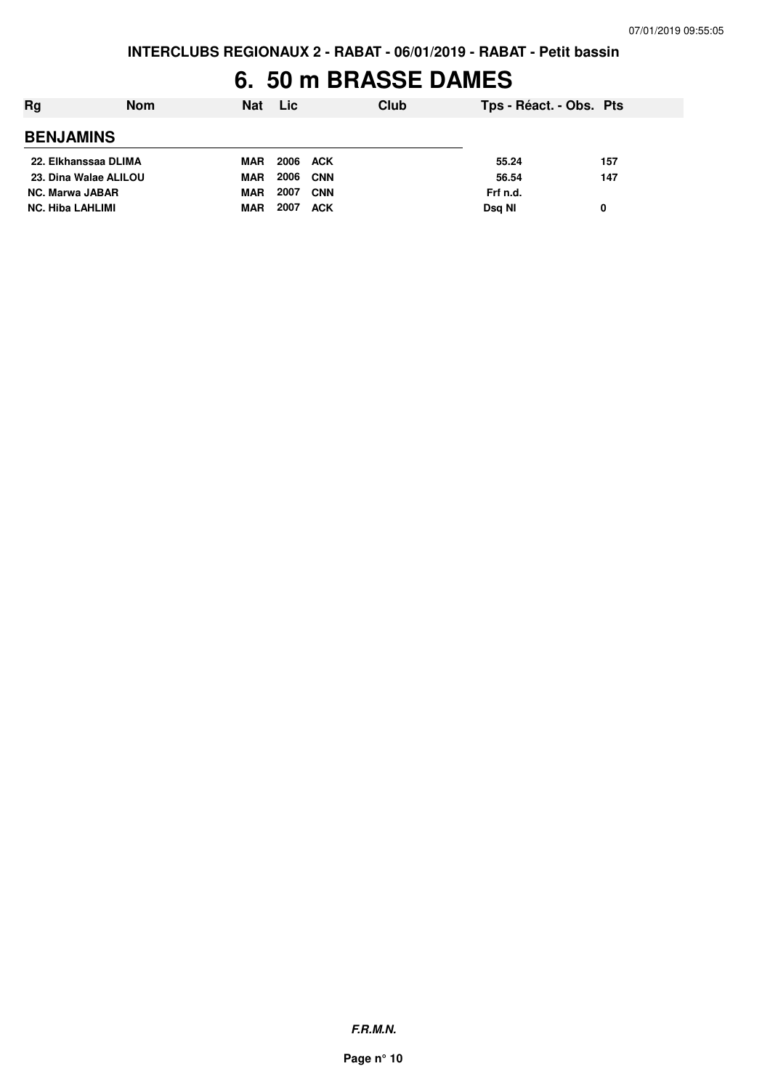### **6. 50 m BRASSE DAMES**

| Rg                      | <b>Nom</b> | <b>Nat</b> | <b>Lic</b> |            | Club | Tps - Réact. - Obs. Pts |     |
|-------------------------|------------|------------|------------|------------|------|-------------------------|-----|
| <b>BENJAMINS</b>        |            |            |            |            |      |                         |     |
| 22. Elkhanssaa DLIMA    |            | MAR        | 2006 ACK   |            |      | 55.24                   | 157 |
| 23. Dina Walae ALILOU   |            | <b>MAR</b> | 2006       | CNN        |      | 56.54                   | 147 |
| <b>NC. Marwa JABAR</b>  |            | <b>MAR</b> | 2007       | <b>CNN</b> |      | Frf n.d.                |     |
| <b>NC. Hiba LAHLIMI</b> |            | <b>MAR</b> | 2007       | <b>ACK</b> |      | Dsg NI                  | 0   |
|                         |            |            |            |            |      |                         |     |

**F.R.M.N.**

**Page n° 10**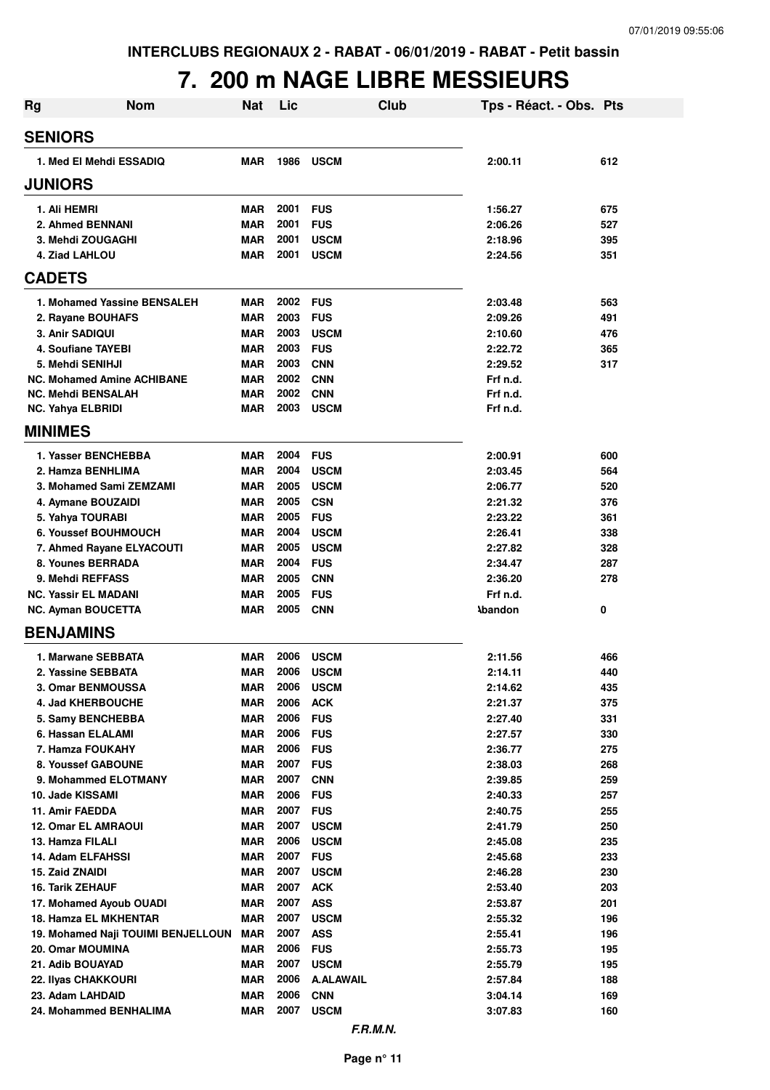## **7. 200 m NAGE LIBRE MESSIEURS**

| <b>Rg</b>                         | <b>Nom</b>                         | <b>Nat</b> | Lic  |                  | <b>Club</b> | Tps - Réact. - Obs. Pts |     |
|-----------------------------------|------------------------------------|------------|------|------------------|-------------|-------------------------|-----|
| <b>SENIORS</b>                    |                                    |            |      |                  |             |                         |     |
| 1. Med El Mehdi ESSADIQ           |                                    | <b>MAR</b> | 1986 | <b>USCM</b>      |             | 2:00.11                 | 612 |
| <b>JUNIORS</b>                    |                                    |            |      |                  |             |                         |     |
| 1. Ali HEMRI                      |                                    | <b>MAR</b> | 2001 | <b>FUS</b>       |             | 1:56.27                 | 675 |
| 2. Ahmed BENNANI                  |                                    | <b>MAR</b> | 2001 | <b>FUS</b>       |             | 2:06.26                 | 527 |
| 3. Mehdi ZOUGAGHI                 |                                    | <b>MAR</b> | 2001 | <b>USCM</b>      |             | 2:18.96                 | 395 |
| 4. Ziad LAHLOU                    |                                    | <b>MAR</b> | 2001 | <b>USCM</b>      |             | 2:24.56                 | 351 |
| <b>CADETS</b>                     |                                    |            |      |                  |             |                         |     |
|                                   | 1. Mohamed Yassine BENSALEH        | <b>MAR</b> | 2002 | <b>FUS</b>       |             | 2:03.48                 | 563 |
| 2. Rayane BOUHAFS                 |                                    | <b>MAR</b> | 2003 | <b>FUS</b>       |             | 2:09.26                 | 491 |
| 3. Anir SADIQUI                   |                                    | <b>MAR</b> | 2003 | <b>USCM</b>      |             | 2:10.60                 | 476 |
| 4. Soufiane TAYEBI                |                                    | <b>MAR</b> | 2003 | <b>FUS</b>       |             | 2:22.72                 | 365 |
| 5. Mehdi SENIHJI                  |                                    | <b>MAR</b> | 2003 | <b>CNN</b>       |             | 2:29.52                 | 317 |
| <b>NC. Mohamed Amine ACHIBANE</b> |                                    | <b>MAR</b> | 2002 | <b>CNN</b>       |             | Frf n.d.                |     |
| <b>NC. Mehdi BENSALAH</b>         |                                    | <b>MAR</b> | 2002 | <b>CNN</b>       |             | Frf n.d.                |     |
| <b>NC. Yahya ELBRIDI</b>          |                                    | <b>MAR</b> | 2003 | <b>USCM</b>      |             | Frf n.d.                |     |
| <b>MINIMES</b>                    |                                    |            |      |                  |             |                         |     |
| 1. Yasser BENCHEBBA               |                                    | <b>MAR</b> | 2004 | <b>FUS</b>       |             | 2:00.91                 | 600 |
| 2. Hamza BENHLIMA                 |                                    | <b>MAR</b> | 2004 | <b>USCM</b>      |             | 2:03.45                 | 564 |
| 3. Mohamed Sami ZEMZAMI           |                                    | <b>MAR</b> | 2005 | <b>USCM</b>      |             | 2:06.77                 | 520 |
| 4. Aymane BOUZAIDI                |                                    | <b>MAR</b> | 2005 | <b>CSN</b>       |             | 2:21.32                 | 376 |
| 5. Yahya TOURABI                  |                                    | <b>MAR</b> | 2005 | <b>FUS</b>       |             | 2:23.22                 | 361 |
| <b>6. Youssef BOUHMOUCH</b>       |                                    | <b>MAR</b> | 2004 | <b>USCM</b>      |             | 2:26.41                 | 338 |
| 7. Ahmed Rayane ELYACOUTI         |                                    | <b>MAR</b> | 2005 | <b>USCM</b>      |             | 2:27.82                 | 328 |
| 8. Younes BERRADA                 |                                    | <b>MAR</b> | 2004 | <b>FUS</b>       |             | 2:34.47                 | 287 |
| 9. Mehdi REFFASS                  |                                    | <b>MAR</b> | 2005 | <b>CNN</b>       |             | 2:36.20                 | 278 |
| <b>NC. Yassir EL MADANI</b>       |                                    | <b>MAR</b> | 2005 | <b>FUS</b>       |             | Frf n.d.                |     |
| <b>NC. Ayman BOUCETTA</b>         |                                    | <b>MAR</b> | 2005 | <b>CNN</b>       |             | <b>\bandon</b>          | 0   |
| <b>BENJAMINS</b>                  |                                    |            |      |                  |             |                         |     |
| 1. Marwane SEBBATA                |                                    | <b>MAR</b> | 2006 | <b>USCM</b>      |             | 2:11.56                 | 466 |
| 2. Yassine SEBBATA                |                                    | <b>MAR</b> | 2006 | <b>USCM</b>      |             | 2:14.11                 | 440 |
| 3. Omar BENMOUSSA                 |                                    | <b>MAR</b> | 2006 | <b>USCM</b>      |             | 2:14.62                 | 435 |
| 4. Jad KHERBOUCHE                 |                                    | <b>MAR</b> | 2006 | <b>ACK</b>       |             | 2:21.37                 | 375 |
| 5. Samy BENCHEBBA                 |                                    | <b>MAR</b> | 2006 | <b>FUS</b>       |             | 2:27.40                 | 331 |
| 6. Hassan ELALAMI                 |                                    | <b>MAR</b> | 2006 | <b>FUS</b>       |             | 2:27.57                 | 330 |
| 7. Hamza FOUKAHY                  |                                    | MAR        | 2006 | <b>FUS</b>       |             | 2:36.77                 | 275 |
| 8. Youssef GABOUNE                |                                    | MAR        | 2007 | <b>FUS</b>       |             | 2:38.03                 | 268 |
| 9. Mohammed ELOTMANY              |                                    | <b>MAR</b> | 2007 | <b>CNN</b>       |             | 2:39.85                 | 259 |
| 10. Jade KISSAMI                  |                                    | <b>MAR</b> | 2006 | <b>FUS</b>       |             | 2:40.33                 | 257 |
| 11. Amir FAEDDA                   |                                    | <b>MAR</b> | 2007 | <b>FUS</b>       |             | 2:40.75                 | 255 |
| <b>12. Omar EL AMRAOUI</b>        |                                    | <b>MAR</b> | 2007 | <b>USCM</b>      |             | 2:41.79                 | 250 |
| 13. Hamza FILALI                  |                                    | <b>MAR</b> | 2006 | <b>USCM</b>      |             | 2:45.08                 | 235 |
| 14. Adam ELFAHSSI                 |                                    | MAR        | 2007 | <b>FUS</b>       |             | 2:45.68                 | 233 |
| 15. Zaid ZNAIDI                   |                                    | <b>MAR</b> | 2007 | <b>USCM</b>      |             | 2:46.28                 | 230 |
| <b>16. Tarik ZEHAUF</b>           |                                    | <b>MAR</b> | 2007 | <b>ACK</b>       |             | 2:53.40                 | 203 |
| 17. Mohamed Ayoub OUADI           |                                    | <b>MAR</b> | 2007 | <b>ASS</b>       |             | 2:53.87                 | 201 |
| 18. Hamza EL MKHENTAR             |                                    | <b>MAR</b> | 2007 | <b>USCM</b>      |             | 2:55.32                 | 196 |
|                                   | 19. Mohamed Naji TOUIMI BENJELLOUN | <b>MAR</b> | 2007 | <b>ASS</b>       |             | 2:55.41                 | 196 |
| 20. Omar MOUMINA                  |                                    | <b>MAR</b> | 2006 | <b>FUS</b>       |             | 2:55.73                 | 195 |
| 21. Adib BOUAYAD                  |                                    | <b>MAR</b> | 2007 | <b>USCM</b>      |             | 2:55.79                 | 195 |
| 22. Ilyas CHAKKOURI               |                                    | <b>MAR</b> | 2006 | <b>A.ALAWAIL</b> |             | 2:57.84                 | 188 |
| 23. Adam LAHDAID                  |                                    | <b>MAR</b> | 2006 | <b>CNN</b>       |             | 3:04.14                 | 169 |
| 24. Mohammed BENHALIMA            |                                    | <b>MAR</b> | 2007 | <b>USCM</b>      |             | 3:07.83                 | 160 |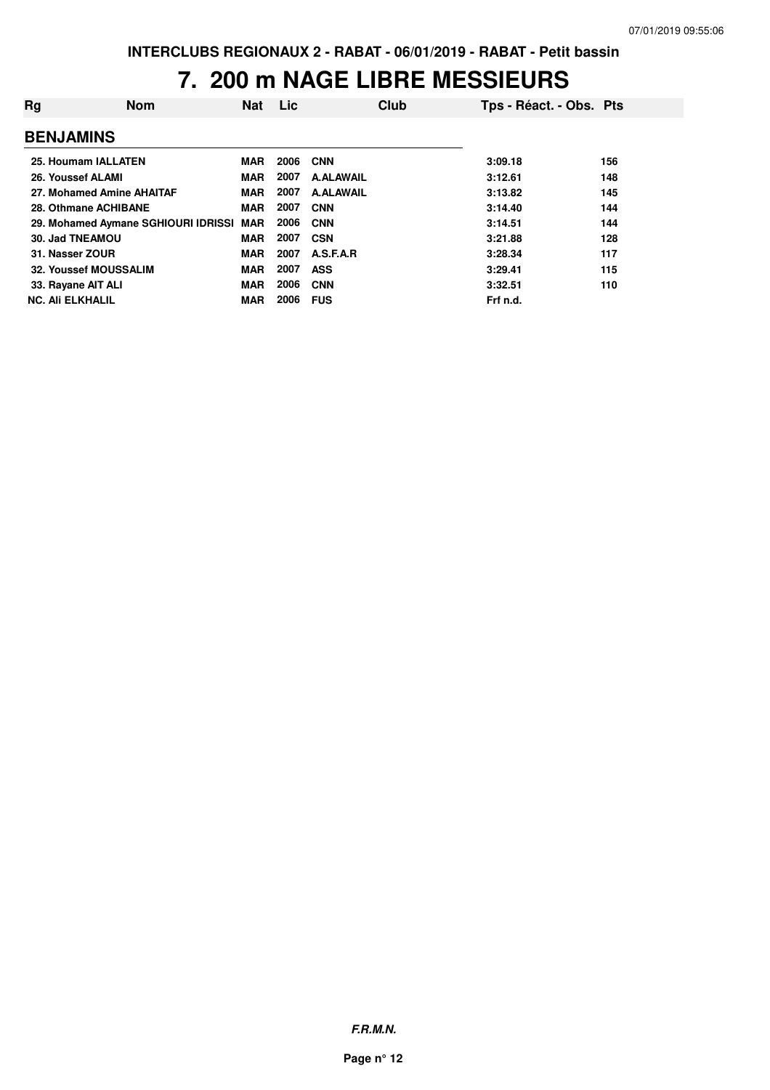#### **7. 200 m NAGE LIBRE MESSIEURS**

| Rg | <b>Nom</b>                              | <b>Nat</b> | Lic  | Club             | Tps - Réact. - Obs. Pts |     |
|----|-----------------------------------------|------------|------|------------------|-------------------------|-----|
|    | <b>BENJAMINS</b>                        |            |      |                  |                         |     |
|    | 25. Houmam IALLATEN                     | <b>MAR</b> | 2006 | <b>CNN</b>       | 3:09.18                 | 156 |
|    | 26. Youssef ALAMI                       | <b>MAR</b> | 2007 | <b>A.ALAWAIL</b> | 3:12.61                 | 148 |
|    | 27. Mohamed Amine AHAITAF               | <b>MAR</b> | 2007 | <b>A.ALAWAIL</b> | 3:13.82                 | 145 |
|    | 28. Othmane ACHIBANE                    | <b>MAR</b> | 2007 | <b>CNN</b>       | 3:14.40                 | 144 |
|    | 29. Mohamed Aymane SGHIOURI IDRISSI MAR |            | 2006 | <b>CNN</b>       | 3:14.51                 | 144 |
|    | 30. Jad TNEAMOU                         | <b>MAR</b> | 2007 | <b>CSN</b>       | 3:21.88                 | 128 |
|    | 31. Nasser ZOUR                         | <b>MAR</b> | 2007 | A.S.F.A.R        | 3:28.34                 | 117 |
|    | 32. Youssef MOUSSALIM                   | <b>MAR</b> | 2007 | <b>ASS</b>       | 3:29.41                 | 115 |
|    | 33. Rayane AIT ALI                      | <b>MAR</b> | 2006 | <b>CNN</b>       | 3:32.51                 | 110 |
|    | <b>NC. Ali ELKHALIL</b>                 | <b>MAR</b> | 2006 | <b>FUS</b>       | Frf n.d.                |     |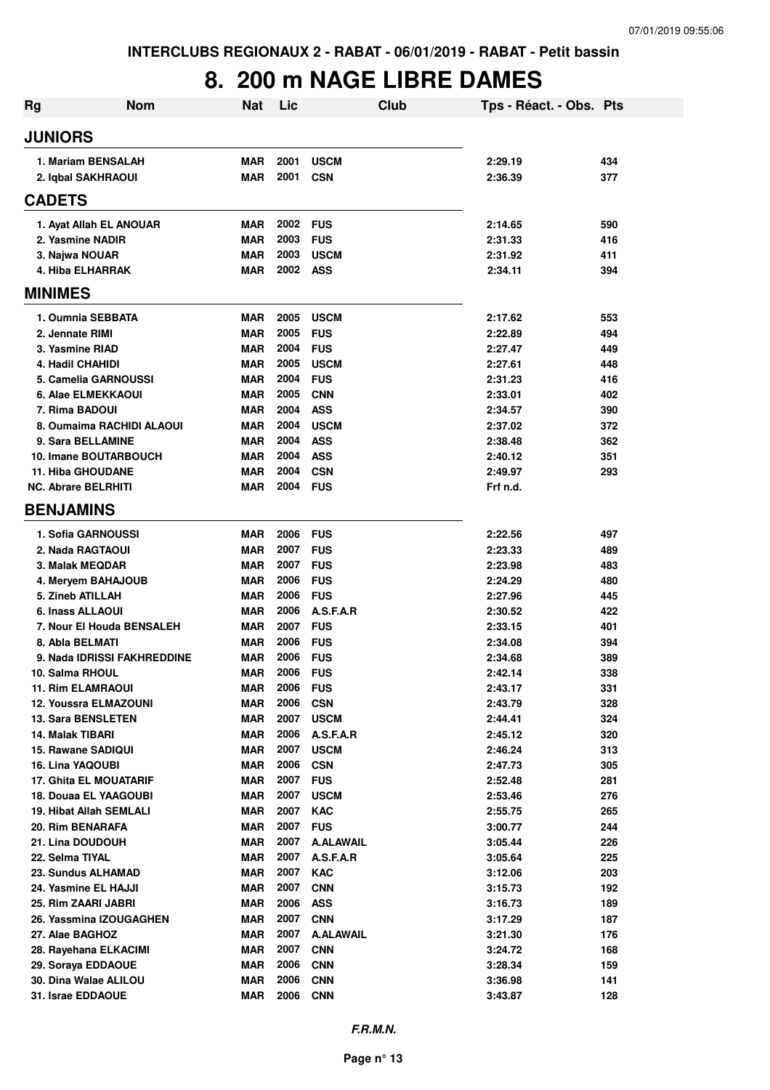## **8. 200 m NAGE LIBRE DAMES**

| <b>Rg</b>                                     | <b>Nom</b>                   | <b>Nat</b>               | Lic          |                           | Club | Tps - Réact. - Obs. Pts |            |
|-----------------------------------------------|------------------------------|--------------------------|--------------|---------------------------|------|-------------------------|------------|
| <b>JUNIORS</b>                                |                              |                          |              |                           |      |                         |            |
| 1. Mariam BENSALAH<br>2. Iqbal SAKHRAOUI      |                              | <b>MAR</b><br><b>MAR</b> | 2001<br>2001 | <b>USCM</b><br><b>CSN</b> |      | 2:29.19<br>2:36.39      | 434<br>377 |
| <b>CADETS</b>                                 |                              |                          |              |                           |      |                         |            |
|                                               | 1. Ayat Allah EL ANOUAR      | <b>MAR</b>               | 2002         | <b>FUS</b>                |      | 2:14.65                 | 590        |
| 2. Yasmine NADIR                              |                              | <b>MAR</b>               | 2003         | <b>FUS</b>                |      | 2:31.33                 | 416        |
| 3. Najwa NOUAR                                |                              | <b>MAR</b>               | 2003         | <b>USCM</b>               |      | 2:31.92                 | 411        |
| 4. Hiba ELHARRAK                              |                              | <b>MAR</b>               | 2002         | <b>ASS</b>                |      | 2:34.11                 | 394        |
| <b>MINIMES</b>                                |                              |                          |              |                           |      |                         |            |
| 1. Oumnia SEBBATA                             |                              | <b>MAR</b>               | 2005         | <b>USCM</b>               |      | 2:17.62                 | 553        |
| 2. Jennate RIMI                               |                              | <b>MAR</b>               | 2005         | <b>FUS</b>                |      | 2:22.89                 | 494        |
| 3. Yasmine RIAD                               |                              | <b>MAR</b>               | 2004         | <b>FUS</b>                |      | 2:27.47                 | 449        |
| 4. Hadil CHAHIDI                              |                              | <b>MAR</b>               | 2005         | <b>USCM</b>               |      | 2:27.61                 | 448        |
| 5. Camelia GARNOUSSI                          |                              | <b>MAR</b>               | 2004         | <b>FUS</b>                |      | 2:31.23                 | 416        |
| 6. Alae ELMEKKAOUI                            |                              | <b>MAR</b>               | 2005         | <b>CNN</b>                |      | 2:33.01                 | 402        |
| 7. Rima BADOUI                                |                              | <b>MAR</b>               | 2004         | <b>ASS</b>                |      | 2:34.57                 | 390        |
|                                               | 8. Oumaima RACHIDI ALAOUI    | <b>MAR</b>               | 2004         | <b>USCM</b>               |      | 2:37.02                 | 372        |
| 9. Sara BELLAMINE                             |                              | <b>MAR</b>               | 2004         | <b>ASS</b>                |      | 2:38.48                 | 362        |
|                                               | <b>10. Imane BOUTARBOUCH</b> | <b>MAR</b>               | 2004         | <b>ASS</b>                |      | 2:40.12                 | 351        |
| <b>11. Hiba GHOUDANE</b>                      |                              | <b>MAR</b>               | 2004         | <b>CSN</b>                |      | 2:49.97                 | 293        |
| <b>NC. Abrare BELRHITI</b>                    |                              | <b>MAR</b>               | 2004 FUS     |                           |      | Frf n.d.                |            |
| <b>BENJAMINS</b>                              |                              |                          |              |                           |      |                         |            |
| 1. Sofia GARNOUSSI                            |                              | <b>MAR</b>               | 2006         | <b>FUS</b>                |      | 2:22.56                 | 497        |
| 2. Nada RAGTAOUI                              |                              | <b>MAR</b>               | 2007         | <b>FUS</b>                |      | 2:23.33                 | 489        |
| 3. Malak MEQDAR                               |                              | <b>MAR</b>               | 2007         | <b>FUS</b>                |      | 2:23.98                 | 483        |
| 4. Meryem BAHAJOUB                            |                              | <b>MAR</b>               | 2006         | <b>FUS</b>                |      | 2:24.29                 | 480        |
| 5. Zineb ATILLAH                              |                              | <b>MAR</b>               | 2006         | <b>FUS</b>                |      | 2:27.96                 | 445        |
| 6. Inass ALLAOUI                              |                              | <b>MAR</b>               | 2006         | A.S.F.A.R                 |      | 2:30.52                 | 422        |
|                                               | 7. Nour El Houda BENSALEH    | <b>MAR</b>               | 2007         | <b>FUS</b>                |      | 2:33.15                 | 401        |
| 8. Abla BELMATI                               |                              | <b>MAR</b>               | 2006         | <b>FUS</b>                |      | 2:34.08                 | 394        |
|                                               | 9. Nada IDRISSI FAKHREDDINE  | <b>MAR</b>               | 2006         | <b>FUS</b>                |      | 2:34.68                 | 389        |
| 10. Salma RHOUL                               |                              | <b>MAR</b>               | 2006         | <b>FUS</b>                |      | 2:42.14                 | 338        |
| 11. Rim ELAMRAOUI                             |                              | MAR                      | 2006         | <b>FUS</b>                |      | 2:43.17                 | 331        |
| 12. Youssra ELMAZOUNI                         |                              | <b>MAR</b>               | 2006<br>2007 | <b>CSN</b>                |      | 2:43.79                 | 328        |
| <b>13. Sara BENSLETEN</b><br>14. Malak TIBARI |                              | <b>MAR</b><br><b>MAR</b> | 2006         | <b>USCM</b><br>A.S.F.A.R  |      | 2:44.41<br>2:45.12      | 324<br>320 |
| 15. Rawane SADIQUI                            |                              | <b>MAR</b>               | 2007         | <b>USCM</b>               |      | 2:46.24                 | 313        |
| 16. Lina YAQOUBI                              |                              | <b>MAR</b>               | 2006         | <b>CSN</b>                |      | 2:47.73                 | 305        |
| 17. Ghita EL MOUATARIF                        |                              | <b>MAR</b>               | 2007         | <b>FUS</b>                |      | 2:52.48                 | 281        |
| 18. Douaa EL YAAGOUBI                         |                              | <b>MAR</b>               | 2007         | <b>USCM</b>               |      | 2:53.46                 | 276        |
| 19. Hibat Allah SEMLALI                       |                              | <b>MAR</b>               | 2007         | <b>KAC</b>                |      | 2:55.75                 | 265        |
| 20. Rim BENARAFA                              |                              | <b>MAR</b>               | 2007         | <b>FUS</b>                |      | 3:00.77                 | 244        |
| 21. Lina DOUDOUH                              |                              | <b>MAR</b>               | 2007         | <b>A.ALAWAIL</b>          |      | 3:05.44                 | 226        |
| 22. Selma TIYAL                               |                              | <b>MAR</b>               | 2007         | A.S.F.A.R                 |      | 3:05.64                 | 225        |
| 23. Sundus ALHAMAD                            |                              | <b>MAR</b>               | 2007         | <b>KAC</b>                |      | 3:12.06                 | 203        |
| 24. Yasmine EL HAJJI                          |                              | <b>MAR</b>               | 2007         | <b>CNN</b>                |      | 3:15.73                 | 192        |
| 25. Rim ZAARI JABRI                           |                              | <b>MAR</b>               | 2006         | <b>ASS</b>                |      | 3:16.73                 | 189        |
|                                               | 26. Yassmina IZOUGAGHEN      | <b>MAR</b>               | 2007         | <b>CNN</b>                |      | 3:17.29                 | 187        |
| 27. Alae BAGHOZ                               |                              | <b>MAR</b>               | 2007         | <b>A.ALAWAIL</b>          |      | 3:21.30                 | 176        |
| 28. Rayehana ELKACIMI                         |                              | <b>MAR</b>               | 2007         | <b>CNN</b>                |      | 3:24.72                 | 168        |
| 29. Soraya EDDAOUE                            |                              | <b>MAR</b>               | 2006         | <b>CNN</b>                |      | 3:28.34                 | 159        |
| 30. Dina Walae ALILOU                         |                              | <b>MAR</b>               | 2006         | <b>CNN</b>                |      | 3:36.98                 | 141        |
| 31. Israe EDDAOUE                             |                              | <b>MAR</b>               | 2006         | <b>CNN</b>                |      | 3:43.87                 | 128        |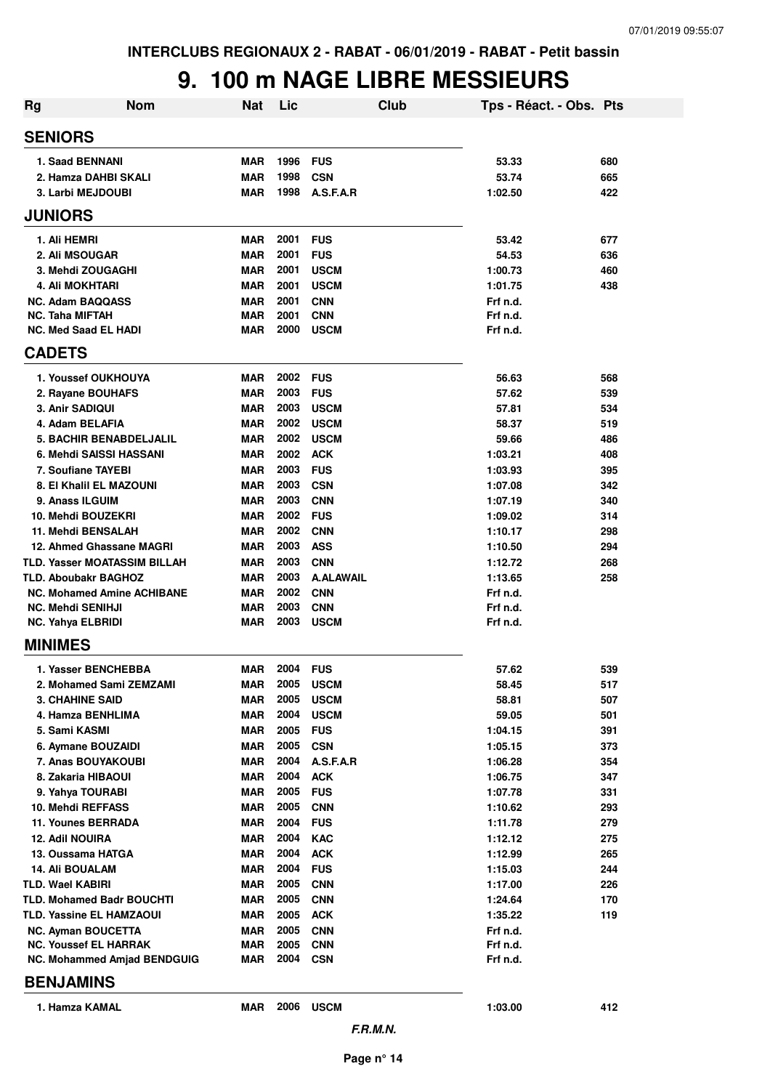#### **9. 100 m NAGE LIBRE MESSIEURS**

| <b>Nom</b><br><b>Rg</b>                        | <b>Nat</b>               | Lic          | Club                     | Tps - Réact. - Obs. Pts |            |
|------------------------------------------------|--------------------------|--------------|--------------------------|-------------------------|------------|
| <b>SENIORS</b>                                 |                          |              |                          |                         |            |
| 1. Saad BENNANI                                | <b>MAR</b>               | 1996         | <b>FUS</b>               | 53.33                   | 680        |
| 2. Hamza DAHBI SKALI                           | <b>MAR</b>               | 1998         | <b>CSN</b>               | 53.74                   | 665        |
| 3. Larbi MEJDOUBI                              | <b>MAR</b>               | 1998         | A.S.F.A.R                | 1:02.50                 | 422        |
| <b>JUNIORS</b>                                 |                          |              |                          |                         |            |
| 1. Ali HEMRI                                   | <b>MAR</b>               | 2001         | <b>FUS</b>               | 53.42                   | 677        |
| 2. Ali MSOUGAR                                 | <b>MAR</b>               | 2001         | <b>FUS</b>               | 54.53                   | 636        |
| 3. Mehdi ZOUGAGHI                              | <b>MAR</b>               | 2001         | <b>USCM</b>              | 1:00.73                 | 460        |
| 4. Ali MOKHTARI                                | <b>MAR</b>               | 2001         | <b>USCM</b>              | 1:01.75                 | 438        |
| <b>NC. Adam BAQQASS</b>                        | <b>MAR</b>               | 2001         | <b>CNN</b>               | Frf n.d.                |            |
| <b>NC. Taha MIFTAH</b>                         | <b>MAR</b>               | 2001         | <b>CNN</b>               | Frf n.d.                |            |
| <b>NC. Med Saad EL HADI</b>                    | <b>MAR</b>               | 2000         | <b>USCM</b>              | Frf n.d.                |            |
| <b>CADETS</b>                                  |                          |              |                          |                         |            |
| 1. Youssef OUKHOUYA                            | <b>MAR</b>               | 2002         | <b>FUS</b>               | 56.63                   | 568        |
| 2. Rayane BOUHAFS                              | <b>MAR</b>               | 2003         | <b>FUS</b>               | 57.62                   | 539        |
| 3. Anir SADIQUI                                | <b>MAR</b>               | 2003         | <b>USCM</b>              | 57.81                   | 534        |
| 4. Adam BELAFIA                                | <b>MAR</b>               | 2002         | <b>USCM</b>              | 58.37                   | 519        |
| <b>5. BACHIR BENABDELJALIL</b>                 | <b>MAR</b>               | 2002         | <b>USCM</b>              | 59.66                   | 486        |
| 6. Mehdi SAISSI HASSANI                        | <b>MAR</b>               | 2002         | <b>ACK</b>               | 1:03.21                 | 408        |
| 7. Soufiane TAYEBI                             | <b>MAR</b>               | 2003         | <b>FUS</b>               | 1:03.93                 | 395        |
| 8. El Khalil EL MAZOUNI                        | <b>MAR</b>               | 2003         | <b>CSN</b>               | 1:07.08                 | 342        |
| 9. Anass ILGUIM<br>10. Mehdi BOUZEKRI          | <b>MAR</b><br><b>MAR</b> | 2003<br>2002 | <b>CNN</b><br><b>FUS</b> | 1:07.19                 | 340        |
| 11. Mehdi BENSALAH                             | <b>MAR</b>               | 2002         | <b>CNN</b>               | 1:09.02<br>1:10.17      | 314<br>298 |
| 12. Ahmed Ghassane MAGRI                       | <b>MAR</b>               | 2003         | <b>ASS</b>               | 1:10.50                 | 294        |
| <b>TLD. Yasser MOATASSIM BILLAH</b>            | <b>MAR</b>               | 2003         | <b>CNN</b>               | 1:12.72                 | 268        |
| <b>TLD. Aboubakr BAGHOZ</b>                    | <b>MAR</b>               | 2003         | <b>A.ALAWAIL</b>         | 1:13.65                 | 258        |
| <b>NC. Mohamed Amine ACHIBANE</b>              | <b>MAR</b>               | 2002         | <b>CNN</b>               | Frf n.d.                |            |
| <b>NC. Mehdi SENIHJI</b>                       | <b>MAR</b>               | 2003         | <b>CNN</b>               | Frf n.d.                |            |
| <b>NC. Yahya ELBRIDI</b>                       | <b>MAR</b>               | 2003         | <b>USCM</b>              | Frf n.d.                |            |
| <b>MINIMES</b>                                 |                          |              |                          |                         |            |
| 1. Yasser BENCHEBBA                            | <b>MAR</b>               | 2004         | <b>FUS</b>               | 57.62                   | 539        |
| 2. Mohamed Sami ZEMZAMI                        | MAR                      | 2005         | <b>USCM</b>              | 58.45                   | 517        |
| <b>3. CHAHINE SAID</b>                         | MAR                      | 2005         | <b>USCM</b>              | 58.81                   | 507        |
| 4. Hamza BENHLIMA                              | <b>MAR</b>               | 2004         | <b>USCM</b>              | 59.05                   | 501        |
| 5. Sami KASMI                                  | <b>MAR</b>               | 2005         | <b>FUS</b>               | 1:04.15                 | 391        |
| 6. Aymane BOUZAIDI                             | <b>MAR</b>               | 2005         | <b>CSN</b>               | 1:05.15                 | 373        |
| 7. Anas BOUYAKOUBI                             | <b>MAR</b>               | 2004         | A.S.F.A.R                | 1:06.28                 | 354        |
| 8. Zakaria HIBAOUI                             | <b>MAR</b>               | 2004         | <b>ACK</b>               | 1:06.75                 | 347        |
| 9. Yahya TOURABI                               | <b>MAR</b>               | 2005         | <b>FUS</b>               | 1:07.78                 | 331        |
| 10. Mehdi REFFASS<br><b>11. Younes BERRADA</b> | <b>MAR</b><br><b>MAR</b> | 2005<br>2004 | <b>CNN</b><br><b>FUS</b> | 1:10.62<br>1:11.78      | 293<br>279 |
| 12. Adil NOUIRA                                | <b>MAR</b>               | 2004         | <b>KAC</b>               | 1:12.12                 | 275        |
| 13. Oussama HATGA                              | <b>MAR</b>               | 2004         | <b>ACK</b>               | 1:12.99                 | 265        |
| <b>14. Ali BOUALAM</b>                         | <b>MAR</b>               | 2004         | <b>FUS</b>               | 1:15.03                 | 244        |
| TLD. Wael KABIRI                               | <b>MAR</b>               | 2005         | <b>CNN</b>               | 1:17.00                 | 226        |
| <b>TLD. Mohamed Badr BOUCHTI</b>               | <b>MAR</b>               | 2005         | <b>CNN</b>               | 1:24.64                 | 170        |
| TLD. Yassine EL HAMZAOUI                       | <b>MAR</b>               | 2005         | <b>ACK</b>               | 1:35.22                 | 119        |
| <b>NC. Ayman BOUCETTA</b>                      | <b>MAR</b>               | 2005         | <b>CNN</b>               | Frf n.d.                |            |
| <b>NC. Youssef EL HARRAK</b>                   | <b>MAR</b>               | 2005         | <b>CNN</b>               | Frf n.d.                |            |
| <b>NC. Mohammed Amjad BENDGUIG</b>             | <b>MAR</b>               | 2004         | <b>CSN</b>               | Frf n.d.                |            |
| <b>BENJAMINS</b>                               |                          |              |                          |                         |            |
| 1. Hamza KAMAL                                 | MAR                      | 2006         | <b>USCM</b>              | 1:03.00                 | 412        |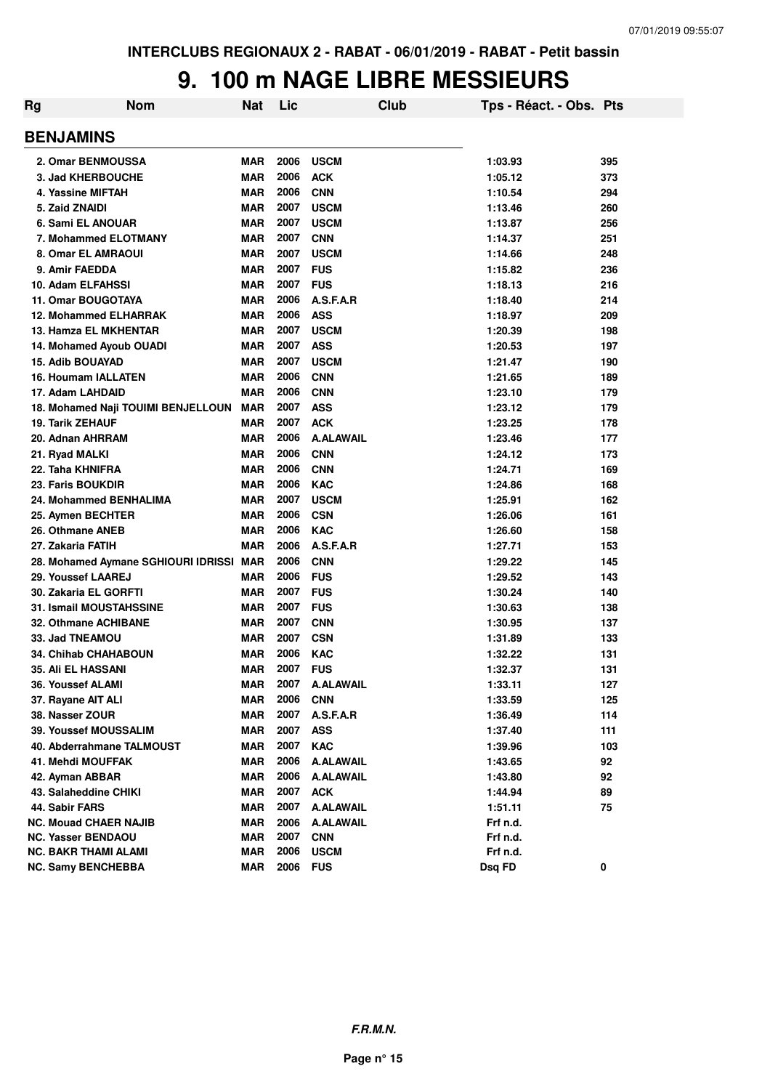#### **9. 100 m NAGE LIBRE MESSIEURS**

| Rg | <b>Nom</b>                              | <b>Nat</b> | Lic  | Club             | Tps - Réact. - Obs. Pts |     |
|----|-----------------------------------------|------------|------|------------------|-------------------------|-----|
|    | <b>BENJAMINS</b>                        |            |      |                  |                         |     |
|    | 2. Omar BENMOUSSA                       | <b>MAR</b> | 2006 | <b>USCM</b>      | 1:03.93                 | 395 |
|    | 3. Jad KHERBOUCHE                       | <b>MAR</b> | 2006 | <b>ACK</b>       | 1:05.12                 | 373 |
|    | 4. Yassine MIFTAH                       | <b>MAR</b> | 2006 | <b>CNN</b>       | 1:10.54                 | 294 |
|    | 5. Zaid ZNAIDI                          | <b>MAR</b> | 2007 | <b>USCM</b>      | 1:13.46                 | 260 |
|    | 6. Sami EL ANOUAR                       | <b>MAR</b> | 2007 | <b>USCM</b>      | 1:13.87                 | 256 |
|    | 7. Mohammed ELOTMANY                    | <b>MAR</b> | 2007 | <b>CNN</b>       | 1:14.37                 | 251 |
|    | 8. Omar EL AMRAOUI                      | <b>MAR</b> | 2007 | <b>USCM</b>      | 1:14.66                 | 248 |
|    | 9. Amir FAEDDA                          | <b>MAR</b> | 2007 | <b>FUS</b>       | 1:15.82                 | 236 |
|    | 10. Adam ELFAHSSI                       | <b>MAR</b> | 2007 | <b>FUS</b>       | 1:18.13                 | 216 |
|    | 11. Omar BOUGOTAYA                      | <b>MAR</b> | 2006 | A.S.F.A.R        | 1:18.40                 | 214 |
|    | <b>12. Mohammed ELHARRAK</b>            | <b>MAR</b> | 2006 | <b>ASS</b>       | 1:18.97                 | 209 |
|    | 13. Hamza EL MKHENTAR                   | <b>MAR</b> | 2007 | <b>USCM</b>      | 1:20.39                 | 198 |
|    | 14. Mohamed Ayoub OUADI                 | <b>MAR</b> | 2007 | <b>ASS</b>       | 1:20.53                 | 197 |
|    | <b>15. Adib BOUAYAD</b>                 | <b>MAR</b> | 2007 | <b>USCM</b>      | 1:21.47                 | 190 |
|    | <b>16. Houmam IALLATEN</b>              | <b>MAR</b> | 2006 | <b>CNN</b>       | 1:21.65                 | 189 |
|    | 17. Adam LAHDAID                        | <b>MAR</b> | 2006 | <b>CNN</b>       | 1:23.10                 | 179 |
|    | 18. Mohamed Naji TOUIMI BENJELLOUN      | <b>MAR</b> | 2007 | <b>ASS</b>       | 1:23.12                 | 179 |
|    | 19. Tarik ZEHAUF                        | <b>MAR</b> | 2007 | <b>ACK</b>       | 1:23.25                 | 178 |
|    | 20. Adnan AHRRAM                        | <b>MAR</b> | 2006 | <b>A.ALAWAIL</b> | 1:23.46                 | 177 |
|    | 21. Ryad MALKI                          | <b>MAR</b> | 2006 | <b>CNN</b>       | 1:24.12                 | 173 |
|    | 22. Taha KHNIFRA                        | <b>MAR</b> | 2006 | <b>CNN</b>       | 1:24.71                 | 169 |
|    | 23. Faris BOUKDIR                       | <b>MAR</b> | 2006 | <b>KAC</b>       | 1:24.86                 | 168 |
|    | 24. Mohammed BENHALIMA                  | <b>MAR</b> | 2007 | <b>USCM</b>      | 1:25.91                 | 162 |
|    | 25. Aymen BECHTER                       | <b>MAR</b> | 2006 | <b>CSN</b>       | 1:26.06                 | 161 |
|    | 26. Othmane ANEB                        | <b>MAR</b> | 2006 | <b>KAC</b>       | 1:26.60                 | 158 |
|    | 27. Zakaria FATIH                       | <b>MAR</b> | 2006 | A.S.F.A.R        | 1:27.71                 | 153 |
|    | 28. Mohamed Aymane SGHIOURI IDRISSI MAR |            | 2006 | <b>CNN</b>       | 1:29.22                 | 145 |
|    | 29. Youssef LAAREJ                      | <b>MAR</b> | 2006 | <b>FUS</b>       | 1:29.52                 | 143 |
|    | 30. Zakaria EL GORFTI                   | <b>MAR</b> | 2007 | <b>FUS</b>       | 1:30.24                 | 140 |
|    | <b>31. Ismail MOUSTAHSSINE</b>          | <b>MAR</b> | 2007 | <b>FUS</b>       | 1:30.63                 | 138 |
|    | 32. Othmane ACHIBANE                    | <b>MAR</b> | 2007 | <b>CNN</b>       | 1:30.95                 | 137 |
|    | 33. Jad TNEAMOU                         | <b>MAR</b> | 2007 | <b>CSN</b>       | 1:31.89                 | 133 |
|    | <b>34. Chihab CHAHABOUN</b>             | <b>MAR</b> | 2006 | <b>KAC</b>       | 1:32.22                 | 131 |
|    | <b>35. Ali EL HASSANI</b>               | <b>MAR</b> | 2007 | <b>FUS</b>       | 1:32.37                 | 131 |
|    | 36. Youssef ALAMI                       | <b>MAR</b> | 2007 | <b>A.ALAWAIL</b> | 1:33.11                 | 127 |
|    | 37. Rayane AIT ALI                      | <b>MAR</b> | 2006 | <b>CNN</b>       | 1:33.59                 | 125 |
|    | 38. Nasser ZOUR                         | <b>MAR</b> | 2007 | A.S.F.A.R        | 1:36.49                 | 114 |
|    | <b>39. Youssef MOUSSALIM</b>            | <b>MAR</b> | 2007 | <b>ASS</b>       | 1:37.40                 | 111 |
|    | 40. Abderrahmane TALMOUST               | <b>MAR</b> | 2007 | <b>KAC</b>       | 1:39.96                 | 103 |
|    | 41. Mehdi MOUFFAK                       | <b>MAR</b> | 2006 | <b>A.ALAWAIL</b> | 1:43.65                 | 92  |
|    | 42. Ayman ABBAR                         | <b>MAR</b> | 2006 | <b>A.ALAWAIL</b> | 1:43.80                 | 92  |
|    | 43. Salaheddine CHIKI                   | <b>MAR</b> | 2007 | <b>ACK</b>       | 1:44.94                 | 89  |
|    | 44. Sabir FARS                          | <b>MAR</b> | 2007 | <b>A.ALAWAIL</b> | 1:51.11                 | 75  |
|    | <b>NC. Mouad CHAER NAJIB</b>            | <b>MAR</b> | 2006 | <b>A.ALAWAIL</b> | Frf n.d.                |     |
|    | <b>NC. Yasser BENDAOU</b>               | <b>MAR</b> | 2007 | <b>CNN</b>       | Frf n.d.                |     |
|    | NC. BAKR THAMI ALAMI                    | <b>MAR</b> | 2006 | <b>USCM</b>      | Frf n.d.                |     |
|    | <b>NC. Samy BENCHEBBA</b>               | <b>MAR</b> | 2006 | <b>FUS</b>       | Dsq FD                  | 0   |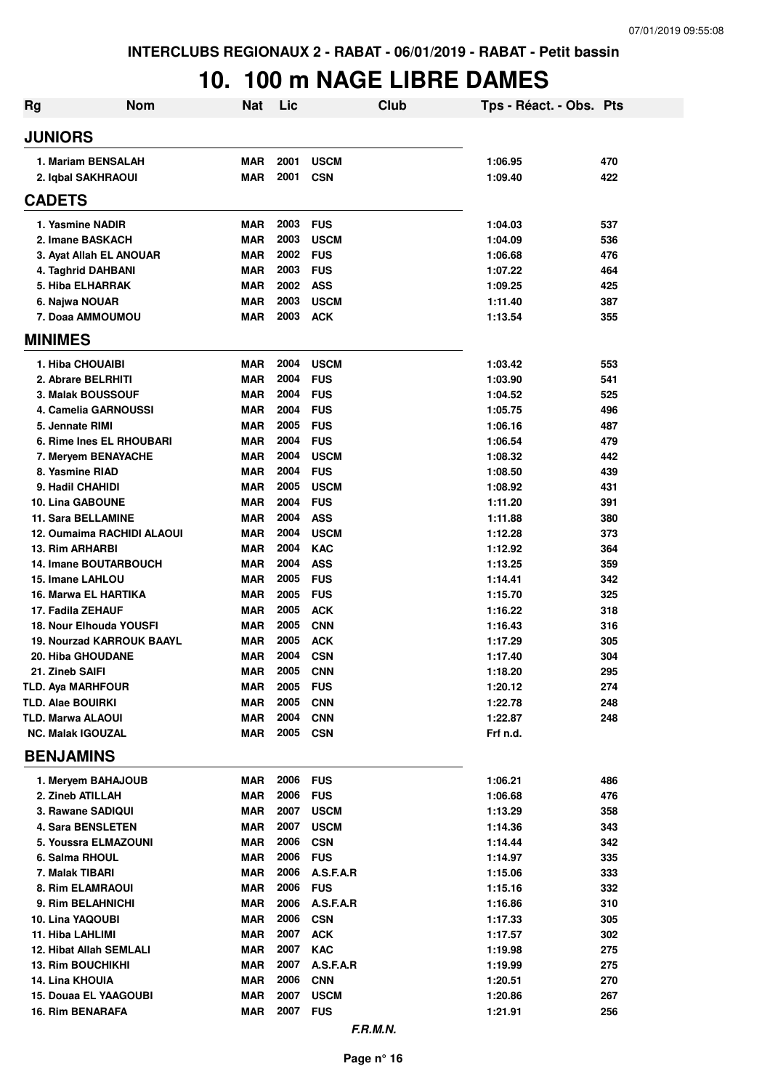## **10. 100 m NAGE LIBRE DAMES**

| Rg | <b>Nom</b>                                           | <b>Nat</b>               | Lic          |                           | <b>Club</b> | Tps - Réact. - Obs. Pts |            |
|----|------------------------------------------------------|--------------------------|--------------|---------------------------|-------------|-------------------------|------------|
|    | <b>JUNIORS</b>                                       |                          |              |                           |             |                         |            |
|    | 1. Mariam BENSALAH<br>2. Iqbal SAKHRAOUI             | <b>MAR</b><br><b>MAR</b> | 2001<br>2001 | <b>USCM</b><br><b>CSN</b> |             | 1:06.95<br>1:09.40      | 470<br>422 |
|    | <b>CADETS</b>                                        |                          |              |                           |             |                         |            |
|    | 1. Yasmine NADIR                                     | <b>MAR</b>               | 2003         | <b>FUS</b>                |             | 1:04.03                 | 537        |
|    | 2. Imane BASKACH                                     | <b>MAR</b>               | 2003         | <b>USCM</b>               |             | 1:04.09                 | 536        |
|    | 3. Ayat Allah EL ANOUAR                              | <b>MAR</b>               | 2002         | <b>FUS</b>                |             | 1:06.68                 | 476        |
|    | 4. Taghrid DAHBANI                                   | <b>MAR</b>               | 2003         | <b>FUS</b>                |             | 1:07.22                 | 464        |
|    | 5. Hiba ELHARRAK                                     | <b>MAR</b>               | 2002         | <b>ASS</b>                |             | 1:09.25                 | 425        |
|    | 6. Najwa NOUAR                                       | <b>MAR</b>               | 2003         | <b>USCM</b>               |             | 1:11.40                 | 387        |
|    | 7. Doaa AMMOUMOU                                     | <b>MAR</b>               | 2003         | <b>ACK</b>                |             | 1:13.54                 | 355        |
|    | <b>MINIMES</b>                                       |                          |              |                           |             |                         |            |
|    | 1. Hiba CHOUAIBI                                     | <b>MAR</b>               | 2004         | <b>USCM</b>               |             | 1:03.42                 | 553        |
|    | 2. Abrare BELRHITI                                   | <b>MAR</b>               | 2004         | <b>FUS</b>                |             | 1:03.90                 | 541        |
|    | 3. Malak BOUSSOUF                                    | <b>MAR</b>               | 2004         | <b>FUS</b>                |             | 1:04.52                 | 525        |
|    | 4. Camelia GARNOUSSI                                 | <b>MAR</b>               | 2004         | <b>FUS</b>                |             | 1:05.75                 | 496        |
|    | 5. Jennate RIMI                                      | <b>MAR</b>               | 2005         | <b>FUS</b>                |             | 1:06.16                 | 487        |
|    | 6. Rime Ines EL RHOUBARI                             | <b>MAR</b>               | 2004         | <b>FUS</b>                |             | 1:06.54                 | 479        |
|    | 7. Meryem BENAYACHE                                  | <b>MAR</b>               | 2004         | <b>USCM</b>               |             | 1:08.32                 | 442        |
|    | 8. Yasmine RIAD                                      | <b>MAR</b>               | 2004         | <b>FUS</b>                |             | 1:08.50                 | 439        |
|    | 9. Hadil CHAHIDI                                     | <b>MAR</b>               | 2005         | <b>USCM</b>               |             | 1:08.92                 | 431        |
|    | 10. Lina GABOUNE                                     | <b>MAR</b><br><b>MAR</b> | 2004<br>2004 | <b>FUS</b><br><b>ASS</b>  |             | 1:11.20                 | 391        |
|    | <b>11. Sara BELLAMINE</b>                            |                          | 2004         | <b>USCM</b>               |             | 1:11.88                 | 380        |
|    | 12. Oumaima RACHIDI ALAOUI<br><b>13. Rim ARHARBI</b> | <b>MAR</b><br><b>MAR</b> | 2004         | <b>KAC</b>                |             | 1:12.28<br>1:12.92      | 373<br>364 |
|    | <b>14. Imane BOUTARBOUCH</b>                         | <b>MAR</b>               | 2004         | <b>ASS</b>                |             | 1:13.25                 | 359        |
|    | 15. Imane LAHLOU                                     | <b>MAR</b>               | 2005         | <b>FUS</b>                |             | 1:14.41                 | 342        |
|    | 16. Marwa EL HARTIKA                                 | <b>MAR</b>               | 2005         | <b>FUS</b>                |             | 1:15.70                 | 325        |
|    | 17. Fadila ZEHAUF                                    | <b>MAR</b>               | 2005         | <b>ACK</b>                |             | 1:16.22                 | 318        |
|    | 18. Nour Elhouda YOUSFI                              | <b>MAR</b>               | 2005         | <b>CNN</b>                |             | 1:16.43                 | 316        |
|    | <b>19. Nourzad KARROUK BAAYL</b>                     | <b>MAR</b>               | 2005         | <b>ACK</b>                |             | 1:17.29                 | 305        |
|    | <b>20. Hiba GHOUDANE</b>                             | <b>MAR</b>               | 2004         | <b>CSN</b>                |             | 1:17.40                 | 304        |
|    | 21. Zineb SAIFI                                      | MAR                      | 2005         | <b>CNN</b>                |             | 1:18.20                 | 295        |
|    | <b>TLD. Aya MARHFOUR</b>                             | MAR                      | 2005 FUS     |                           |             | 1:20.12                 | 274        |
|    | <b>TLD. Alae BOUIRKI</b>                             | <b>MAR</b>               | 2005         | <b>CNN</b>                |             | 1:22.78                 | 248        |
|    | <b>TLD. Marwa ALAOUI</b>                             | <b>MAR</b>               | 2004         | <b>CNN</b>                |             | 1:22.87                 | 248        |
|    | <b>NC. Malak IGOUZAL</b>                             | <b>MAR</b>               | 2005         | CSN                       |             | Frf n.d.                |            |
|    | <b>BENJAMINS</b>                                     |                          |              |                           |             |                         |            |
|    | 1. Meryem BAHAJOUB                                   | MAR                      | 2006 FUS     |                           |             | 1:06.21                 | 486        |
|    | 2. Zineb ATILLAH                                     | <b>MAR</b>               | 2006 FUS     |                           |             | 1:06.68                 | 476        |
|    | 3. Rawane SADIQUI                                    | MAR                      | 2007         | <b>USCM</b>               |             | 1:13.29                 | 358        |
|    | 4. Sara BENSLETEN                                    | <b>MAR</b>               | 2007         | <b>USCM</b>               |             | 1:14.36                 | 343        |
|    | 5. Youssra ELMAZOUNI                                 | <b>MAR</b>               | 2006         | <b>CSN</b>                |             | 1:14.44                 | 342        |
|    | 6. Salma RHOUL                                       | <b>MAR</b>               | 2006         | <b>FUS</b>                |             | 1:14.97                 | 335        |
|    | 7. Malak TIBARI                                      | <b>MAR</b>               | 2006         | A.S.F.A.R                 |             | 1:15.06                 | 333        |
|    | 8. Rim ELAMRAOUI                                     | <b>MAR</b>               | 2006         | <b>FUS</b>                |             | 1:15.16                 | 332        |
|    | 9. Rim BELAHNICHI                                    | MAR                      | 2006         | A.S.F.A.R                 |             | 1:16.86                 | 310        |
|    | 10. Lina YAQOUBI                                     | MAR                      | 2006         | <b>CSN</b>                |             | 1:17.33                 | 305        |
|    | 11. Hiba LAHLIMI                                     | MAR                      | 2007         | <b>ACK</b>                |             | 1:17.57                 | 302        |
|    | 12. Hibat Allah SEMLALI                              | MAR                      | 2007         | <b>KAC</b>                |             | 1:19.98                 | 275        |
|    | <b>13. Rim BOUCHIKHI</b>                             | MAR                      | 2007         | A.S.F.A.R                 |             | 1:19.99                 | 275        |
|    | 14. Lina KHOUIA                                      | <b>MAR</b>               | 2006         | <b>CNN</b>                |             | 1:20.51                 | 270        |
|    | 15. Douaa EL YAAGOUBI                                | <b>MAR</b>               | 2007         | <b>USCM</b>               |             | 1:20.86                 | 267        |
|    | <b>16. Rim BENARAFA</b>                              | <b>MAR</b>               | 2007 FUS     |                           |             | 1:21.91                 | 256        |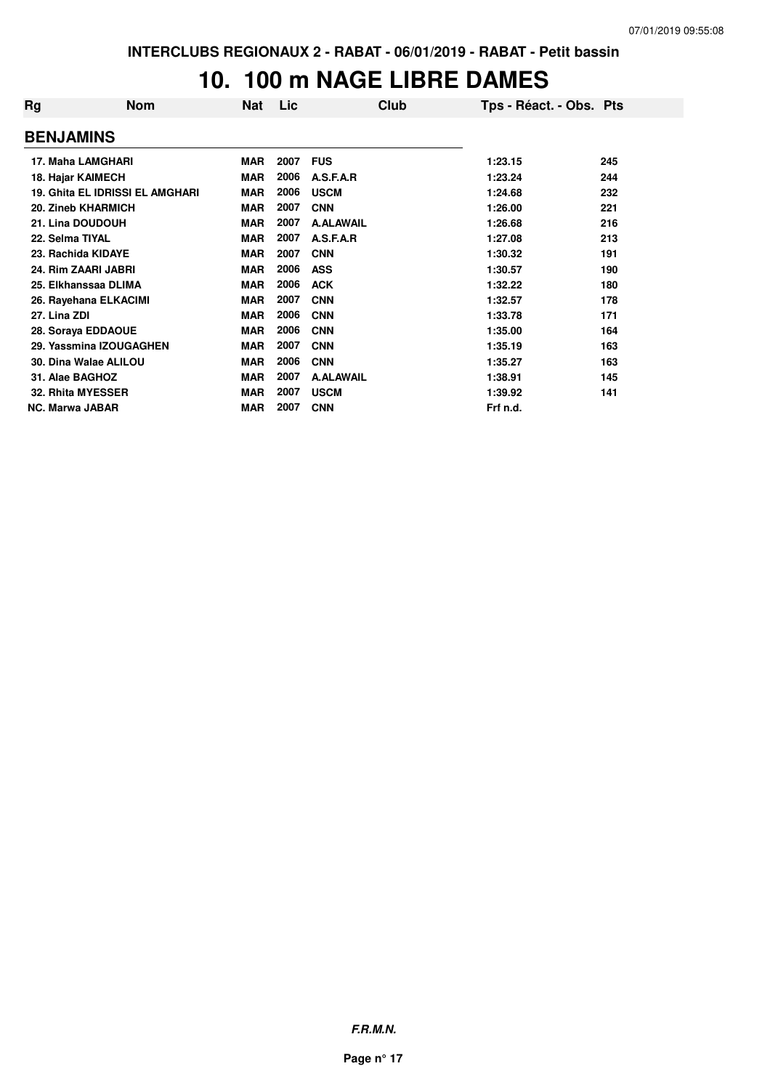#### **10. 100 m NAGE LIBRE DAMES**

| Rg                     | <b>Nom</b>                             | Nat        | Lic  | Club             | Tps - Réact. - Obs. Pts |     |
|------------------------|----------------------------------------|------------|------|------------------|-------------------------|-----|
| <b>BENJAMINS</b>       |                                        |            |      |                  |                         |     |
|                        | 17. Maha LAMGHARI                      | <b>MAR</b> | 2007 | <b>FUS</b>       | 1:23.15                 | 245 |
|                        | 18. Hajar KAIMECH                      | <b>MAR</b> | 2006 | A.S.F.A.R        | 1:23.24                 | 244 |
|                        | <b>19. Ghita EL IDRISSI EL AMGHARI</b> | <b>MAR</b> | 2006 | <b>USCM</b>      | 1:24.68                 | 232 |
|                        | 20. Zineb KHARMICH                     | <b>MAR</b> | 2007 | <b>CNN</b>       | 1:26.00                 | 221 |
|                        | 21. Lina DOUDOUH                       | <b>MAR</b> | 2007 | <b>A.ALAWAIL</b> | 1:26.68                 | 216 |
| 22. Selma TIYAL        |                                        | <b>MAR</b> | 2007 | A.S.F.A.R        | 1:27.08                 | 213 |
|                        | 23. Rachida KIDAYE                     | <b>MAR</b> | 2007 | <b>CNN</b>       | 1:30.32                 | 191 |
|                        | 24. Rim ZAARI JABRI                    | <b>MAR</b> | 2006 | <b>ASS</b>       | 1:30.57                 | 190 |
|                        | 25. Elkhanssaa DLIMA                   | <b>MAR</b> | 2006 | <b>ACK</b>       | 1:32.22                 | 180 |
|                        | 26. Rayehana ELKACIMI                  | <b>MAR</b> | 2007 | <b>CNN</b>       | 1:32.57                 | 178 |
| 27. Lina ZDI           |                                        | <b>MAR</b> | 2006 | <b>CNN</b>       | 1:33.78                 | 171 |
|                        | 28. Soraya EDDAOUE                     | <b>MAR</b> | 2006 | <b>CNN</b>       | 1:35.00                 | 164 |
|                        | 29. Yassmina IZOUGAGHEN                | <b>MAR</b> | 2007 | <b>CNN</b>       | 1:35.19                 | 163 |
|                        | 30. Dina Walae ALILOU                  | <b>MAR</b> | 2006 | <b>CNN</b>       | 1:35.27                 | 163 |
| 31. Alae BAGHOZ        |                                        | <b>MAR</b> | 2007 | <b>A.ALAWAIL</b> | 1:38.91                 | 145 |
|                        | 32. Rhita MYESSER                      | <b>MAR</b> | 2007 | <b>USCM</b>      | 1:39.92                 | 141 |
| <b>NC. Marwa JABAR</b> |                                        | <b>MAR</b> | 2007 | <b>CNN</b>       | Frf n.d.                |     |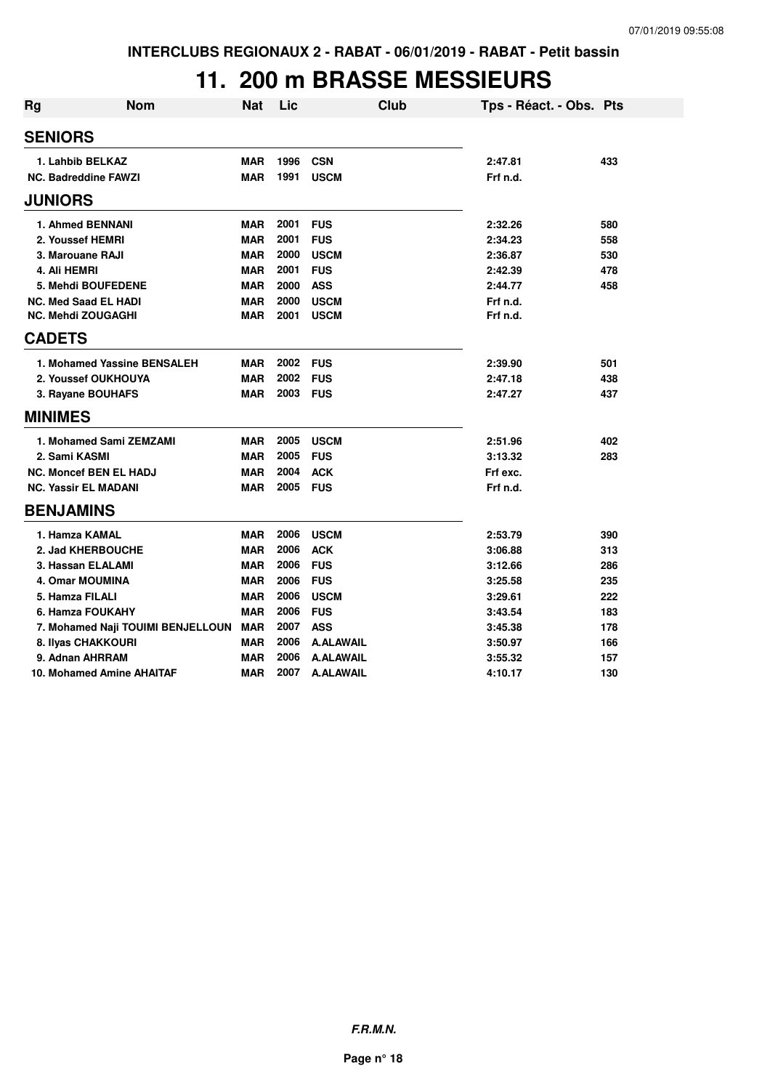#### **11. 200 m BRASSE MESSIEURS**

| <b>Rg</b> | <b>Nom</b>                        | <b>Nat</b> | Lic  | Club             | Tps - Réact. - Obs. Pts |     |
|-----------|-----------------------------------|------------|------|------------------|-------------------------|-----|
|           | <b>SENIORS</b>                    |            |      |                  |                         |     |
|           | 1. Lahbib BELKAZ                  | <b>MAR</b> | 1996 | <b>CSN</b>       | 2:47.81                 | 433 |
|           | <b>NC. Badreddine FAWZI</b>       | <b>MAR</b> | 1991 | <b>USCM</b>      | Frf n.d.                |     |
|           | <b>JUNIORS</b>                    |            |      |                  |                         |     |
|           | 1. Ahmed BENNANI                  | <b>MAR</b> | 2001 | <b>FUS</b>       | 2:32.26                 | 580 |
|           | 2. Youssef HEMRI                  | <b>MAR</b> | 2001 | <b>FUS</b>       | 2:34.23                 | 558 |
|           | 3. Marouane RAJI                  | <b>MAR</b> | 2000 | <b>USCM</b>      | 2:36.87                 | 530 |
|           | 4. Ali HEMRI                      | <b>MAR</b> | 2001 | <b>FUS</b>       | 2:42.39                 | 478 |
|           | 5. Mehdi BOUFEDENE                | <b>MAR</b> | 2000 | <b>ASS</b>       | 2:44.77                 | 458 |
|           | <b>NC. Med Saad EL HADI</b>       | <b>MAR</b> | 2000 | <b>USCM</b>      | Frf n.d.                |     |
|           | <b>NC. Mehdi ZOUGAGHI</b>         | <b>MAR</b> | 2001 | <b>USCM</b>      | Frf n.d.                |     |
|           | <b>CADETS</b>                     |            |      |                  |                         |     |
|           | 1. Mohamed Yassine BENSALEH       | <b>MAR</b> | 2002 | <b>FUS</b>       | 2:39.90                 | 501 |
|           | 2. Youssef OUKHOUYA               | <b>MAR</b> | 2002 | <b>FUS</b>       | 2:47.18                 | 438 |
|           | 3. Rayane BOUHAFS                 | <b>MAR</b> | 2003 | <b>FUS</b>       | 2:47.27                 | 437 |
|           | <b>MINIMES</b>                    |            |      |                  |                         |     |
|           | 1. Mohamed Sami ZEMZAMI           | <b>MAR</b> | 2005 | <b>USCM</b>      | 2:51.96                 | 402 |
|           | 2. Sami KASMI                     | <b>MAR</b> | 2005 | <b>FUS</b>       | 3:13.32                 | 283 |
|           | <b>NC. Moncef BEN EL HADJ</b>     | <b>MAR</b> | 2004 | <b>ACK</b>       | Frf exc.                |     |
|           | <b>NC. Yassir EL MADANI</b>       | <b>MAR</b> | 2005 | <b>FUS</b>       | Frf n.d.                |     |
|           | <b>BENJAMINS</b>                  |            |      |                  |                         |     |
|           | 1. Hamza KAMAL                    | <b>MAR</b> | 2006 | <b>USCM</b>      | 2:53.79                 | 390 |
|           | 2. Jad KHERBOUCHE                 | <b>MAR</b> | 2006 | <b>ACK</b>       | 3:06.88                 | 313 |
|           | 3. Hassan ELALAMI                 | <b>MAR</b> | 2006 | <b>FUS</b>       | 3:12.66                 | 286 |
|           | 4. Omar MOUMINA                   | <b>MAR</b> | 2006 | <b>FUS</b>       | 3:25.58                 | 235 |
|           | 5. Hamza FILALI                   | <b>MAR</b> | 2006 | <b>USCM</b>      | 3:29.61                 | 222 |
|           | 6. Hamza FOUKAHY                  | <b>MAR</b> | 2006 | <b>FUS</b>       | 3:43.54                 | 183 |
|           | 7. Mohamed Naji TOUIMI BENJELLOUN | <b>MAR</b> | 2007 | <b>ASS</b>       | 3:45.38                 | 178 |
|           | 8. Ilyas CHAKKOURI                | <b>MAR</b> | 2006 | <b>A.ALAWAIL</b> | 3:50.97                 | 166 |
|           | 9. Adnan AHRRAM                   | <b>MAR</b> | 2006 | <b>A.ALAWAIL</b> | 3:55.32                 | 157 |
|           | 10. Mohamed Amine AHAITAF         | <b>MAR</b> | 2007 | <b>A.ALAWAIL</b> | 4:10.17                 | 130 |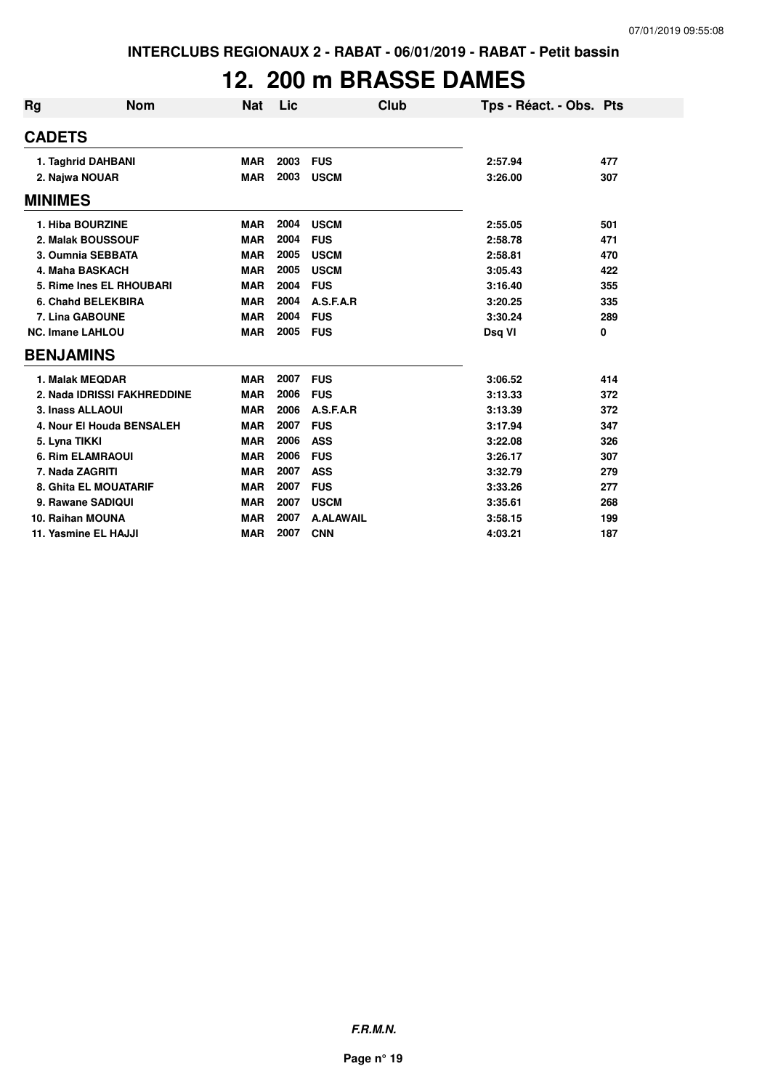## **12. 200 m BRASSE DAMES**

| <b>Rg</b>      | <b>Nom</b>                  | <b>Nat</b> | Lic  | Club             | Tps - Réact. - Obs. Pts |     |
|----------------|-----------------------------|------------|------|------------------|-------------------------|-----|
| <b>CADETS</b>  |                             |            |      |                  |                         |     |
|                | 1. Taghrid DAHBANI          | <b>MAR</b> | 2003 | <b>FUS</b>       | 2:57.94                 | 477 |
|                | 2. Najwa NOUAR              | <b>MAR</b> | 2003 | <b>USCM</b>      | 3:26.00                 | 307 |
| <b>MINIMES</b> |                             |            |      |                  |                         |     |
|                | 1. Hiba BOURZINE            | <b>MAR</b> | 2004 | <b>USCM</b>      | 2:55.05                 | 501 |
|                | 2. Malak BOUSSOUF           | <b>MAR</b> | 2004 | <b>FUS</b>       | 2:58.78                 | 471 |
|                | 3. Oumnia SEBBATA           | <b>MAR</b> | 2005 | <b>USCM</b>      | 2:58.81                 | 470 |
|                | 4. Maha BASKACH             | <b>MAR</b> | 2005 | <b>USCM</b>      | 3:05.43                 | 422 |
|                | 5. Rime Ines EL RHOUBARI    | <b>MAR</b> | 2004 | <b>FUS</b>       | 3:16.40                 | 355 |
|                | 6. Chahd BELEKBIRA          | <b>MAR</b> | 2004 | A.S.F.A.R        | 3:20.25                 | 335 |
|                | 7. Lina GABOUNE             | <b>MAR</b> | 2004 | <b>FUS</b>       | 3:30.24                 | 289 |
|                | <b>NC. Imane LAHLOU</b>     | <b>MAR</b> | 2005 | <b>FUS</b>       | Dsq VI                  | 0   |
|                | <b>BENJAMINS</b>            |            |      |                  |                         |     |
|                | 1. Malak MEQDAR             | <b>MAR</b> | 2007 | <b>FUS</b>       | 3:06.52                 | 414 |
|                | 2. Nada IDRISSI FAKHREDDINE | <b>MAR</b> | 2006 | <b>FUS</b>       | 3:13.33                 | 372 |
|                | 3. Inass ALLAOUI            | <b>MAR</b> | 2006 | A.S.F.A.R        | 3:13.39                 | 372 |
|                | 4. Nour El Houda BENSALEH   | <b>MAR</b> | 2007 | <b>FUS</b>       | 3:17.94                 | 347 |
|                | 5. Lyna TIKKI               | <b>MAR</b> | 2006 | <b>ASS</b>       | 3:22.08                 | 326 |
|                | <b>6. Rim ELAMRAOUI</b>     | <b>MAR</b> | 2006 | <b>FUS</b>       | 3:26.17                 | 307 |
|                | 7. Nada ZAGRITI             | <b>MAR</b> | 2007 | <b>ASS</b>       | 3:32.79                 | 279 |
|                | 8. Ghita EL MOUATARIF       | <b>MAR</b> | 2007 | <b>FUS</b>       | 3:33.26                 | 277 |
|                | 9. Rawane SADIQUI           | <b>MAR</b> | 2007 | <b>USCM</b>      | 3:35.61                 | 268 |
|                | 10. Raihan MOUNA            | <b>MAR</b> | 2007 | <b>A.ALAWAIL</b> | 3:58.15                 | 199 |
|                | 11. Yasmine EL HAJJI        | <b>MAR</b> | 2007 | <b>CNN</b>       | 4:03.21                 | 187 |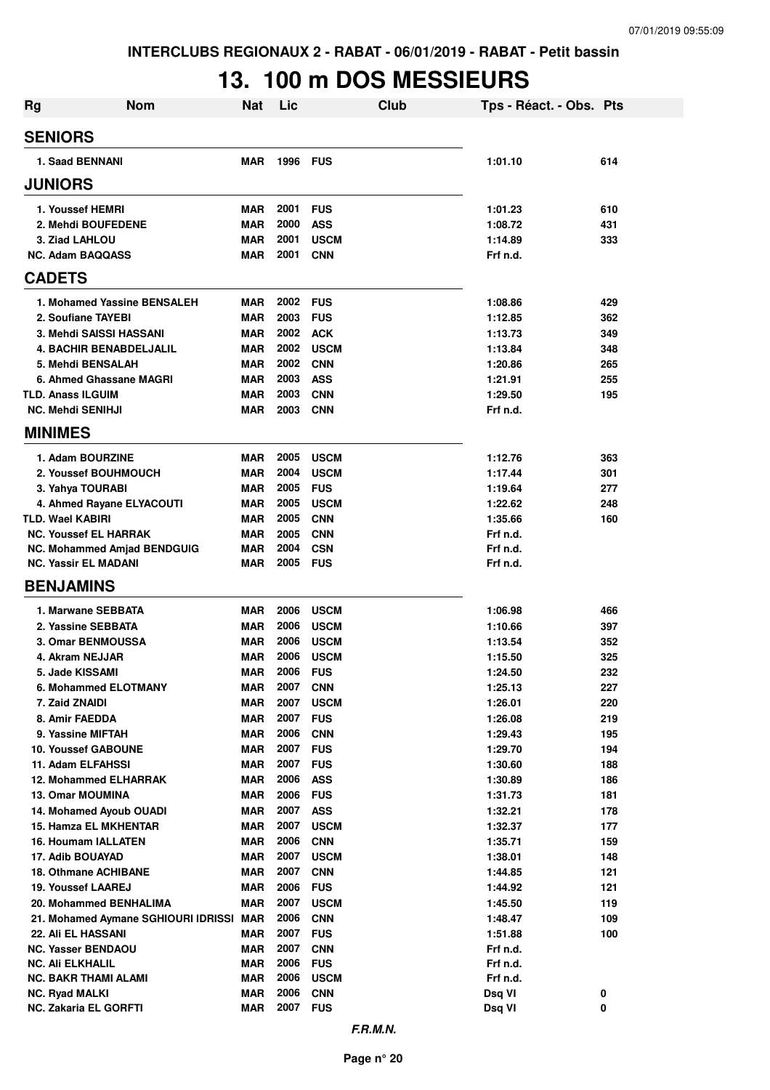## **13. 100 m DOS MESSIEURS**

| <b>Rg</b>                                          | <b>Nom</b>                              | Nat                      | Lic          |                           | Club | Tps - Réact. - Obs. Pts |            |
|----------------------------------------------------|-----------------------------------------|--------------------------|--------------|---------------------------|------|-------------------------|------------|
| <b>SENIORS</b>                                     |                                         |                          |              |                           |      |                         |            |
| 1. Saad BENNANI                                    |                                         | <b>MAR</b>               | 1996         | <b>FUS</b>                |      | 1:01.10                 | 614        |
| <b>JUNIORS</b>                                     |                                         |                          |              |                           |      |                         |            |
| 1. Youssef HEMRI                                   |                                         | MAR                      | 2001         | <b>FUS</b>                |      | 1:01.23                 | 610        |
| 2. Mehdi BOUFEDENE                                 |                                         | <b>MAR</b>               | 2000         | <b>ASS</b>                |      | 1:08.72                 | 431        |
| 3. Ziad LAHLOU                                     |                                         | <b>MAR</b>               | 2001         | <b>USCM</b>               |      | 1:14.89                 | 333        |
| <b>NC. Adam BAQQASS</b>                            |                                         | <b>MAR</b>               | 2001         | <b>CNN</b>                |      | Frf n.d.                |            |
| <b>CADETS</b>                                      |                                         |                          |              |                           |      |                         |            |
| 1. Mohamed Yassine BENSALEH                        |                                         | MAR                      | 2002         | <b>FUS</b>                |      | 1:08.86                 | 429        |
| 2. Soufiane TAYEBI                                 |                                         | <b>MAR</b>               | 2003         | <b>FUS</b>                |      | 1:12.85                 | 362        |
| 3. Mehdi SAISSI HASSANI                            |                                         | <b>MAR</b>               | 2002         | <b>ACK</b>                |      | 1:13.73                 | 349        |
| <b>4. BACHIR BENABDELJALIL</b>                     |                                         | <b>MAR</b>               | 2002         | <b>USCM</b>               |      | 1:13.84                 | 348        |
| 5. Mehdi BENSALAH                                  |                                         | <b>MAR</b>               | 2002         | <b>CNN</b>                |      | 1:20.86                 | 265        |
| 6. Ahmed Ghassane MAGRI                            |                                         | <b>MAR</b>               | 2003         | <b>ASS</b>                |      | 1:21.91                 | 255        |
| <b>TLD. Anass ILGUIM</b>                           |                                         | <b>MAR</b>               | 2003         | <b>CNN</b>                |      | 1:29.50                 | 195        |
| <b>NC. Mehdi SENIHJI</b>                           |                                         | <b>MAR</b>               | 2003         | <b>CNN</b>                |      | Frf n.d.                |            |
| <b>MINIMES</b>                                     |                                         |                          |              |                           |      |                         |            |
| 1. Adam BOURZINE                                   |                                         | MAR                      | 2005         | <b>USCM</b>               |      | 1:12.76                 | 363        |
| 2. Youssef BOUHMOUCH                               |                                         | <b>MAR</b>               | 2004         | <b>USCM</b>               |      | 1:17.44                 | 301        |
| 3. Yahya TOURABI                                   |                                         | MAR                      | 2005         | <b>FUS</b>                |      | 1:19.64                 | 277        |
| 4. Ahmed Rayane ELYACOUTI                          |                                         | MAR                      | 2005         | <b>USCM</b>               |      | 1:22.62                 | 248        |
| <b>TLD. Wael KABIRI</b>                            |                                         | <b>MAR</b>               | 2005         | <b>CNN</b>                |      | 1:35.66                 | 160        |
| <b>NC. Youssef EL HARRAK</b>                       |                                         | <b>MAR</b>               | 2005         | <b>CNN</b>                |      | Frf n.d.                |            |
| <b>NC. Mohammed Amjad BENDGUIG</b>                 |                                         | <b>MAR</b>               | 2004         | <b>CSN</b>                |      | Frf n.d.                |            |
| <b>NC. Yassir EL MADANI</b>                        |                                         | <b>MAR</b>               | 2005         | <b>FUS</b>                |      | Frf n.d.                |            |
| <b>BENJAMINS</b>                                   |                                         |                          |              |                           |      |                         |            |
| 1. Marwane SEBBATA                                 |                                         | <b>MAR</b>               | 2006         | <b>USCM</b>               |      | 1:06.98                 | 466        |
| 2. Yassine SEBBATA                                 |                                         | <b>MAR</b>               | 2006         | <b>USCM</b>               |      | 1:10.66                 | 397        |
| 3. Omar BENMOUSSA                                  |                                         | <b>MAR</b>               | 2006         | <b>USCM</b>               |      | 1:13.54                 | 352        |
| 4. Akram NEJJAR                                    |                                         | <b>MAR</b>               | 2006         | <b>USCM</b>               |      | 1:15.50                 | 325        |
| 5. Jade KISSAMI                                    |                                         | <b>MAR</b>               | 2006         | <b>FUS</b>                |      | 1:24.50                 | 232        |
| 6. Mohammed ELOTMANY                               |                                         | <b>MAR</b>               | 2007         | <b>CNN</b>                |      | 1:25.13                 | 227        |
| 7. Zaid ZNAIDI                                     |                                         | <b>MAR</b>               | 2007         | <b>USCM</b>               |      | 1:26.01                 | 220        |
| 8. Amir FAEDDA                                     |                                         | <b>MAR</b>               | 2007         | <b>FUS</b>                |      | 1:26.08                 | 219        |
| 9. Yassine MIFTAH                                  |                                         | <b>MAR</b>               | 2006         | <b>CNN</b>                |      | 1:29.43                 | 195        |
| <b>10. Youssef GABOUNE</b>                         |                                         | <b>MAR</b>               | 2007         | <b>FUS</b>                |      | 1:29.70                 | 194        |
| 11. Adam ELFAHSSI                                  |                                         | <b>MAR</b>               | 2007         | <b>FUS</b>                |      | 1:30.60                 | 188        |
| <b>12. Mohammed ELHARRAK</b>                       |                                         | <b>MAR</b>               | 2006         | <b>ASS</b>                |      | 1:30.89                 | 186        |
| <b>13. Omar MOUMINA</b><br>14. Mohamed Ayoub OUADI |                                         | <b>MAR</b>               | 2006<br>2007 | <b>FUS</b>                |      | 1:31.73                 | 181        |
| 15. Hamza EL MKHENTAR                              |                                         | <b>MAR</b><br><b>MAR</b> | 2007         | <b>ASS</b><br><b>USCM</b> |      | 1:32.21<br>1:32.37      | 178<br>177 |
| <b>16. Houmam IALLATEN</b>                         |                                         | <b>MAR</b>               | 2006         | <b>CNN</b>                |      | 1:35.71                 | 159        |
| 17. Adib BOUAYAD                                   |                                         | <b>MAR</b>               | 2007         | <b>USCM</b>               |      | 1:38.01                 | 148        |
| <b>18. Othmane ACHIBANE</b>                        |                                         | <b>MAR</b>               | 2007         | <b>CNN</b>                |      | 1:44.85                 | 121        |
| <b>19. Youssef LAAREJ</b>                          |                                         | <b>MAR</b>               | 2006         | <b>FUS</b>                |      | 1:44.92                 | 121        |
| 20. Mohammed BENHALIMA                             |                                         | <b>MAR</b>               | 2007         | <b>USCM</b>               |      | 1:45.50                 | 119        |
|                                                    | 21. Mohamed Aymane SGHIOURI IDRISSI MAR |                          | 2006         | <b>CNN</b>                |      | 1:48.47                 | 109        |
| 22. Ali EL HASSANI                                 |                                         | MAR                      | 2007         | <b>FUS</b>                |      | 1:51.88                 | 100        |
| <b>NC. Yasser BENDAOU</b>                          |                                         | <b>MAR</b>               | 2007         | <b>CNN</b>                |      | Frf n.d.                |            |
| <b>NC. Ali ELKHALIL</b>                            |                                         | <b>MAR</b>               | 2006         | <b>FUS</b>                |      | Frf n.d.                |            |
| NC. BAKR THAMI ALAMI                               |                                         | <b>MAR</b>               | 2006         | <b>USCM</b>               |      | Frf n.d.                |            |
| <b>NC. Ryad MALKI</b>                              |                                         | <b>MAR</b>               | 2006         | <b>CNN</b>                |      | Dsq VI                  | 0          |
| NC. Zakaria EL GORFTI                              |                                         | <b>MAR</b>               | 2007         | <b>FUS</b>                |      | Dsq VI                  | 0          |
|                                                    |                                         |                          |              |                           |      |                         |            |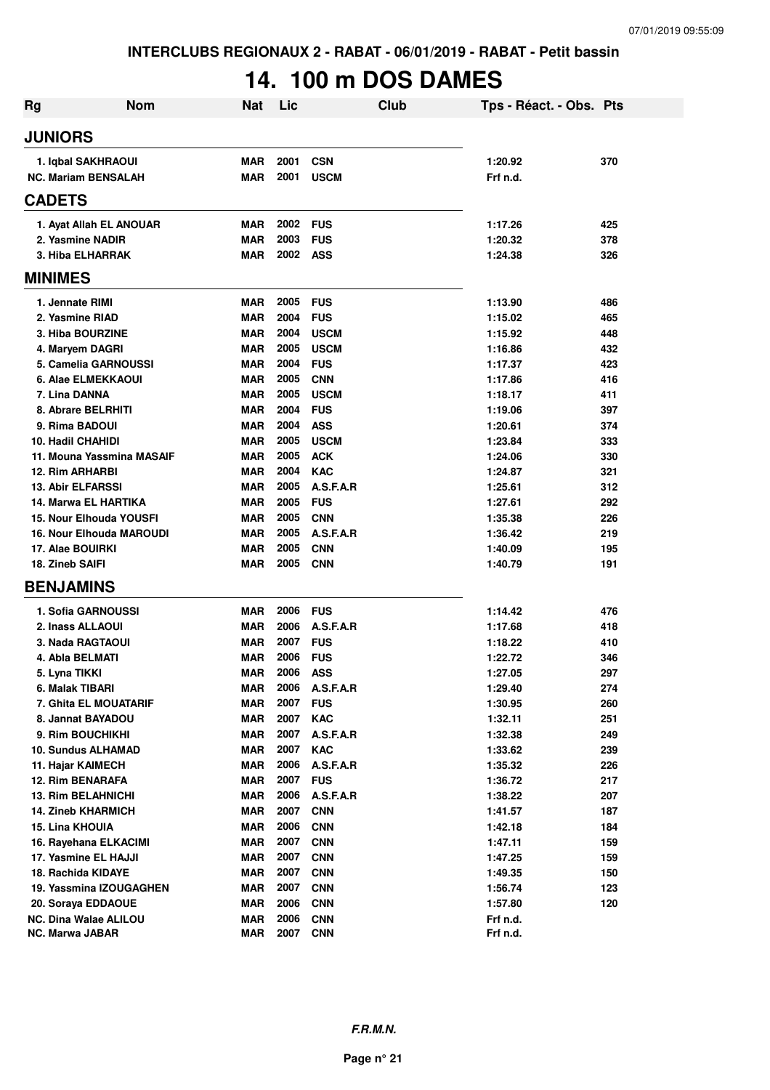# **14. 100 m DOS DAMES**

| Rg                                                  | <b>Nom</b><br>Nat        | Lic          | Club                     | Tps - Réact. - Obs. Pts |            |
|-----------------------------------------------------|--------------------------|--------------|--------------------------|-------------------------|------------|
| <b>JUNIORS</b>                                      |                          |              |                          |                         |            |
| 1. Iqbal SAKHRAOUI                                  | <b>MAR</b>               | 2001         | <b>CSN</b>               | 1:20.92                 | 370        |
| <b>NC. Mariam BENSALAH</b>                          | <b>MAR</b>               | 2001         | <b>USCM</b>              | Frf n.d.                |            |
| <b>CADETS</b>                                       |                          |              |                          |                         |            |
| 1. Ayat Allah EL ANOUAR                             | MAR                      | 2002         | <b>FUS</b>               | 1:17.26                 | 425        |
| 2. Yasmine NADIR                                    | <b>MAR</b>               | 2003         | <b>FUS</b>               | 1:20.32                 | 378        |
| 3. Hiba ELHARRAK                                    | <b>MAR</b>               | 2002         | ASS                      | 1:24.38                 | 326        |
| <b>MINIMES</b>                                      |                          |              |                          |                         |            |
| 1. Jennate RIMI                                     | <b>MAR</b>               | 2005         | <b>FUS</b>               | 1:13.90                 | 486        |
| 2. Yasmine RIAD                                     | <b>MAR</b>               | 2004         | <b>FUS</b>               | 1:15.02                 | 465        |
| 3. Hiba BOURZINE                                    | <b>MAR</b>               | 2004         | <b>USCM</b>              | 1:15.92                 | 448        |
| 4. Maryem DAGRI                                     | <b>MAR</b>               | 2005         | <b>USCM</b>              | 1:16.86                 | 432        |
| 5. Camelia GARNOUSSI                                | <b>MAR</b>               | 2004         | <b>FUS</b>               | 1:17.37                 | 423        |
| <b>6. Alae ELMEKKAOUI</b>                           | <b>MAR</b>               | 2005         | <b>CNN</b>               | 1:17.86                 | 416        |
| 7. Lina DANNA                                       | <b>MAR</b>               | 2005         | <b>USCM</b>              | 1:18.17                 | 411        |
| 8. Abrare BELRHITI                                  | <b>MAR</b>               | 2004         | <b>FUS</b>               | 1:19.06                 | 397        |
| 9. Rima BADOUI                                      | <b>MAR</b>               | 2004         | <b>ASS</b>               | 1:20.61                 | 374        |
| <b>10. Hadil CHAHIDI</b>                            | <b>MAR</b>               | 2005         | <b>USCM</b>              | 1:23.84                 | 333        |
| 11. Mouna Yassmina MASAIF                           | <b>MAR</b>               | 2005         | <b>ACK</b>               | 1:24.06                 | 330        |
| <b>12. Rim ARHARBI</b>                              | <b>MAR</b>               | 2004         | <b>KAC</b>               | 1:24.87                 | 321        |
| <b>13. Abir ELFARSSI</b>                            | <b>MAR</b>               | 2005         | A.S.F.A.R                | 1:25.61                 | 312        |
| 14. Marwa EL HARTIKA                                | <b>MAR</b>               | 2005         | <b>FUS</b>               | 1:27.61                 | 292        |
| 15. Nour Elhouda YOUSFI                             | <b>MAR</b>               | 2005<br>2005 | <b>CNN</b><br>A.S.F.A.R  | 1:35.38                 | 226        |
| <b>16. Nour Elhouda MAROUDI</b><br>17. Alae BOUIRKI | <b>MAR</b><br><b>MAR</b> | 2005         | <b>CNN</b>               | 1:36.42<br>1:40.09      | 219<br>195 |
| 18. Zineb SAIFI                                     | <b>MAR</b>               | 2005         | <b>CNN</b>               | 1:40.79                 | 191        |
| <b>BENJAMINS</b>                                    |                          |              |                          |                         |            |
|                                                     |                          |              |                          |                         |            |
| 1. Sofia GARNOUSSI                                  | <b>MAR</b>               | 2006<br>2006 | <b>FUS</b>               | 1:14.42                 | 476        |
| 2. Inass ALLAOUI<br>3. Nada RAGTAOUI                | <b>MAR</b><br>MAR        | 2007         | A.S.F.A.R<br><b>FUS</b>  | 1:17.68<br>1:18.22      | 418        |
| 4. Abla BELMATI                                     | <b>MAR</b>               | 2006         | <b>FUS</b>               | 1:22.72                 | 410<br>346 |
| 5. Lyna TIKKI                                       | <b>MAR</b>               | 2006         | <b>ASS</b>               | 1:27.05                 | 297        |
| 6. Malak TIBARI                                     | <b>MAR</b>               | 2006         | A.S.F.A.R                | 1:29.40                 | 274        |
| 7. Ghita EL MOUATARIF                               | <b>MAR</b>               | 2007         | <b>FUS</b>               | 1:30.95                 | 260        |
| 8. Jannat BAYADOU                                   | <b>MAR</b>               | 2007         | <b>KAC</b>               | 1:32.11                 | 251        |
| 9. Rim BOUCHIKHI                                    | <b>MAR</b>               | 2007         | A.S.F.A.R                | 1:32.38                 | 249        |
| <b>10. Sundus ALHAMAD</b>                           | <b>MAR</b>               | 2007         | <b>KAC</b>               | 1:33.62                 | 239        |
| 11. Hajar KAIMECH                                   | <b>MAR</b>               | 2006         | A.S.F.A.R                | 1:35.32                 | 226        |
| 12. Rim BENARAFA                                    | <b>MAR</b>               | 2007         | <b>FUS</b>               | 1:36.72                 | 217        |
| 13. Rim BELAHNICHI                                  | <b>MAR</b>               | 2006         | A.S.F.A.R                | 1:38.22                 | 207        |
| <b>14. Zineb KHARMICH</b>                           | <b>MAR</b>               | 2007         | <b>CNN</b>               | 1:41.57                 | 187        |
| <b>15. Lina KHOUIA</b>                              | <b>MAR</b>               | 2006         | <b>CNN</b>               | 1:42.18                 | 184        |
| 16. Rayehana ELKACIMI                               | <b>MAR</b>               | 2007         | <b>CNN</b>               | 1:47.11                 | 159        |
| 17. Yasmine EL HAJJI                                | <b>MAR</b>               | 2007         | <b>CNN</b>               | 1:47.25                 | 159        |
| 18. Rachida KIDAYE                                  | <b>MAR</b>               | 2007         | <b>CNN</b>               | 1:49.35                 | 150        |
| 19. Yassmina IZOUGAGHEN                             | <b>MAR</b>               | 2007         | <b>CNN</b>               | 1:56.74                 | 123        |
| 20. Soraya EDDAOUE                                  | <b>MAR</b>               | 2006         | <b>CNN</b>               | 1:57.80                 | 120        |
| NC. Dina Walae ALILOU<br>NC. Marwa JABAR            | <b>MAR</b><br><b>MAR</b> | 2006<br>2007 | <b>CNN</b><br><b>CNN</b> | Frf n.d.<br>Frf n.d.    |            |
|                                                     |                          |              |                          |                         |            |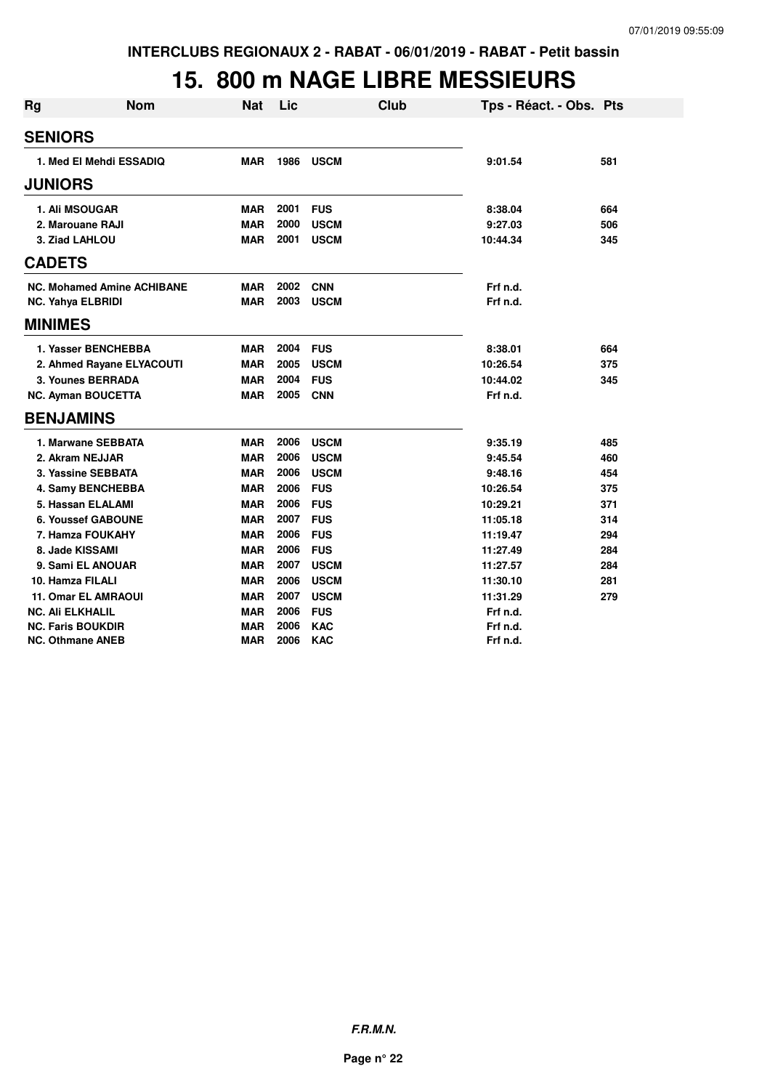## **15. 800 m NAGE LIBRE MESSIEURS**

| <b>Rg</b> | <b>Nom</b>                        | <b>Nat</b> | Lic  | <b>Club</b> | Tps - Réact. - Obs. Pts |     |
|-----------|-----------------------------------|------------|------|-------------|-------------------------|-----|
|           | <b>SENIORS</b>                    |            |      |             |                         |     |
|           | 1. Med El Mehdi ESSADIQ           | <b>MAR</b> | 1986 | <b>USCM</b> | 9:01.54                 | 581 |
|           | <b>JUNIORS</b>                    |            |      |             |                         |     |
|           | <b>1. Ali MSOUGAR</b>             | <b>MAR</b> | 2001 | <b>FUS</b>  | 8:38.04                 | 664 |
|           | 2. Marouane RAJI                  | <b>MAR</b> | 2000 | <b>USCM</b> | 9:27.03                 | 506 |
|           | 3. Ziad LAHLOU                    | <b>MAR</b> | 2001 | <b>USCM</b> | 10:44.34                | 345 |
|           | <b>CADETS</b>                     |            |      |             |                         |     |
|           | <b>NC. Mohamed Amine ACHIBANE</b> | <b>MAR</b> | 2002 | <b>CNN</b>  | Frf n.d.                |     |
|           | <b>NC. Yahya ELBRIDI</b>          | <b>MAR</b> | 2003 | <b>USCM</b> | Frf n.d.                |     |
|           | <b>MINIMES</b>                    |            |      |             |                         |     |
|           | 1. Yasser BENCHEBBA               | <b>MAR</b> | 2004 | <b>FUS</b>  | 8:38.01                 | 664 |
|           | 2. Ahmed Rayane ELYACOUTI         | <b>MAR</b> | 2005 | <b>USCM</b> | 10:26.54                | 375 |
|           | 3. Younes BERRADA                 | <b>MAR</b> | 2004 | <b>FUS</b>  | 10:44.02                | 345 |
|           | <b>NC. Ayman BOUCETTA</b>         | <b>MAR</b> | 2005 | <b>CNN</b>  | Frf n.d.                |     |
|           | <b>BENJAMINS</b>                  |            |      |             |                         |     |
|           | 1. Marwane SEBBATA                | <b>MAR</b> | 2006 | <b>USCM</b> | 9:35.19                 | 485 |
|           | 2. Akram NEJJAR                   | <b>MAR</b> | 2006 | <b>USCM</b> | 9:45.54                 | 460 |
|           | 3. Yassine SEBBATA                | <b>MAR</b> | 2006 | <b>USCM</b> | 9:48.16                 | 454 |
|           | 4. Samy BENCHEBBA                 | <b>MAR</b> | 2006 | <b>FUS</b>  | 10:26.54                | 375 |
|           | 5. Hassan ELALAMI                 | <b>MAR</b> | 2006 | <b>FUS</b>  | 10:29.21                | 371 |
|           | <b>6. Youssef GABOUNE</b>         | <b>MAR</b> | 2007 | <b>FUS</b>  | 11:05.18                | 314 |
|           | 7. Hamza FOUKAHY                  | <b>MAR</b> | 2006 | <b>FUS</b>  | 11:19.47                | 294 |
|           | 8. Jade KISSAMI                   | <b>MAR</b> | 2006 | <b>FUS</b>  | 11:27.49                | 284 |
|           | 9. Sami EL ANOUAR                 | <b>MAR</b> | 2007 | <b>USCM</b> | 11:27.57                | 284 |
|           | 10. Hamza FILALI                  | <b>MAR</b> | 2006 | <b>USCM</b> | 11:30.10                | 281 |
|           | <b>11. Omar EL AMRAOUI</b>        | <b>MAR</b> | 2007 | <b>USCM</b> | 11:31.29                | 279 |
|           | <b>NC. Ali ELKHALIL</b>           | <b>MAR</b> | 2006 | <b>FUS</b>  | Frf n.d.                |     |
|           | <b>NC. Faris BOUKDIR</b>          | <b>MAR</b> | 2006 | <b>KAC</b>  | Frf n.d.                |     |
|           | NC. Othmane ANEB                  | <b>MAR</b> | 2006 | <b>KAC</b>  | Frf n.d.                |     |